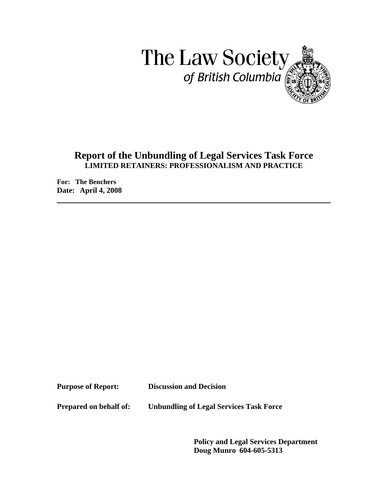

# **Report of the Unbundling of Legal Services Task Force LIMITED RETAINERS: PROFESSIONALISM AND PRACTICE**

**For: The Benchers Date: April 4, 2008** 

**Purpose of Report: Discussion and Decision** 

**Prepared on behalf of: Unbundling of Legal Services Task Force** 

**Policy and Legal Services Department Doug Munro 604-605-5313**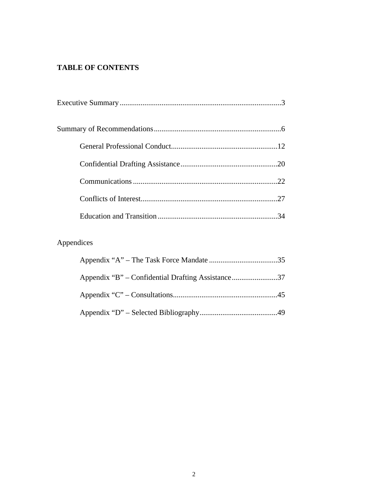# **TABLE OF CONTENTS**

# Appendices

| Appendix "B" – Confidential Drafting Assistance37 |  |
|---------------------------------------------------|--|
|                                                   |  |
|                                                   |  |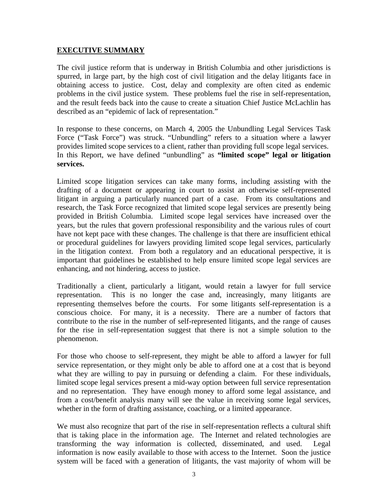### **EXECUTIVE SUMMARY**

The civil justice reform that is underway in British Columbia and other jurisdictions is spurred, in large part, by the high cost of civil litigation and the delay litigants face in obtaining access to justice. Cost, delay and complexity are often cited as endemic problems in the civil justice system. These problems fuel the rise in self-representation, and the result feeds back into the cause to create a situation Chief Justice McLachlin has described as an "epidemic of lack of representation."

In response to these concerns, on March 4, 2005 the Unbundling Legal Services Task Force ("Task Force") was struck. "Unbundling" refers to a situation where a lawyer provides limited scope services to a client, rather than providing full scope legal services. In this Report, we have defined "unbundling" as **"limited scope" legal or litigation services.** 

Limited scope litigation services can take many forms, including assisting with the drafting of a document or appearing in court to assist an otherwise self-represented litigant in arguing a particularly nuanced part of a case. From its consultations and research, the Task Force recognized that limited scope legal services are presently being provided in British Columbia. Limited scope legal services have increased over the years, but the rules that govern professional responsibility and the various rules of court have not kept pace with these changes. The challenge is that there are insufficient ethical or procedural guidelines for lawyers providing limited scope legal services, particularly in the litigation context. From both a regulatory and an educational perspective, it is important that guidelines be established to help ensure limited scope legal services are enhancing, and not hindering, access to justice.

Traditionally a client, particularly a litigant, would retain a lawyer for full service representation. This is no longer the case and, increasingly, many litigants are representing themselves before the courts. For some litigants self-representation is a conscious choice. For many, it is a necessity. There are a number of factors that contribute to the rise in the number of self-represented litigants, and the range of causes for the rise in self-representation suggest that there is not a simple solution to the phenomenon.

For those who choose to self-represent, they might be able to afford a lawyer for full service representation, or they might only be able to afford one at a cost that is beyond what they are willing to pay in pursuing or defending a claim. For these individuals, limited scope legal services present a mid-way option between full service representation and no representation. They have enough money to afford some legal assistance, and from a cost/benefit analysis many will see the value in receiving some legal services, whether in the form of drafting assistance, coaching, or a limited appearance.

We must also recognize that part of the rise in self-representation reflects a cultural shift that is taking place in the information age. The Internet and related technologies are transforming the way information is collected, disseminated, and used. Legal information is now easily available to those with access to the Internet. Soon the justice system will be faced with a generation of litigants, the vast majority of whom will be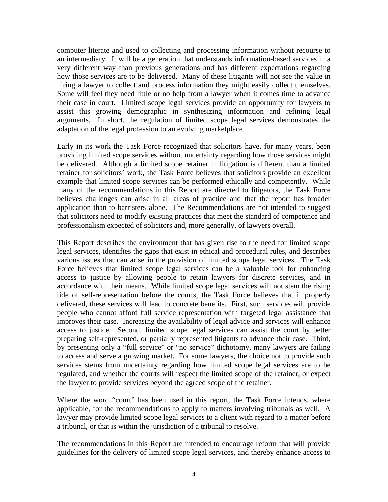computer literate and used to collecting and processing information without recourse to an intermediary. It will be a generation that understands information-based services in a very different way than previous generations and has different expectations regarding how those services are to be delivered. Many of these litigants will not see the value in hiring a lawyer to collect and process information they might easily collect themselves. Some will feel they need little or no help from a lawyer when it comes time to advance their case in court. Limited scope legal services provide an opportunity for lawyers to assist this growing demographic in synthesizing information and refining legal arguments. In short, the regulation of limited scope legal services demonstrates the adaptation of the legal profession to an evolving marketplace.

Early in its work the Task Force recognized that solicitors have, for many years, been providing limited scope services without uncertainty regarding how those services might be delivered. Although a limited scope retainer in litigation is different than a limited retainer for solicitors' work, the Task Force believes that solicitors provide an excellent example that limited scope services can be performed ethically and competently. While many of the recommendations in this Report are directed to litigators, the Task Force believes challenges can arise in all areas of practice and that the report has broader application than to barristers alone. The Recommendations are not intended to suggest that solicitors need to modify existing practices that meet the standard of competence and professionalism expected of solicitors and, more generally, of lawyers overall.

This Report describes the environment that has given rise to the need for limited scope legal services, identifies the gaps that exist in ethical and procedural rules, and describes various issues that can arise in the provision of limited scope legal services. The Task Force believes that limited scope legal services can be a valuable tool for enhancing access to justice by allowing people to retain lawyers for discrete services, and in accordance with their means. While limited scope legal services will not stem the rising tide of self-representation before the courts, the Task Force believes that if properly delivered, these services will lead to concrete benefits. First, such services will provide people who cannot afford full service representation with targeted legal assistance that improves their case. Increasing the availability of legal advice and services will enhance access to justice. Second, limited scope legal services can assist the court by better preparing self-represented, or partially represented litigants to advance their case. Third, by presenting only a "full service" or "no service" dichotomy, many lawyers are failing to access and serve a growing market. For some lawyers, the choice not to provide such services stems from uncertainty regarding how limited scope legal services are to be regulated, and whether the courts will respect the limited scope of the retainer, or expect the lawyer to provide services beyond the agreed scope of the retainer.

Where the word "court" has been used in this report, the Task Force intends, where applicable, for the recommendations to apply to matters involving tribunals as well. A lawyer may provide limited scope legal services to a client with regard to a matter before a tribunal, or that is within the jurisdiction of a tribunal to resolve.

The recommendations in this Report are intended to encourage reform that will provide guidelines for the delivery of limited scope legal services, and thereby enhance access to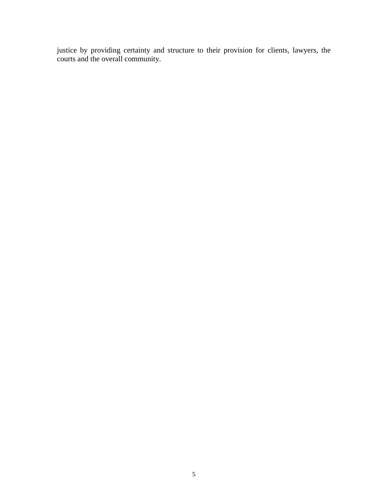justice by providing certainty and structure to their provision for clients, lawyers, the courts and the overall community.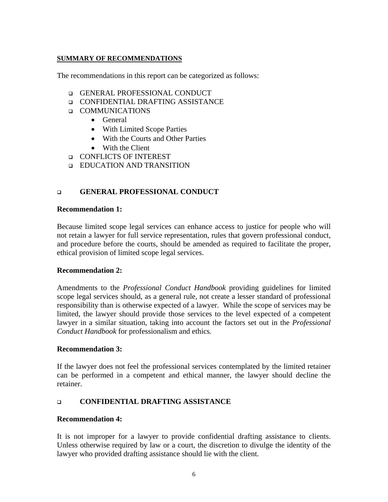### **SUMMARY OF RECOMMENDATIONS**

The recommendations in this report can be categorized as follows:

- **GENERAL PROFESSIONAL CONDUCT**
- CONFIDENTIAL DRAFTING ASSISTANCE
- **Q** COMMUNICATIONS
	- General
	- With Limited Scope Parties
	- With the Courts and Other Parties
	- With the Client
- **CONFLICTS OF INTEREST**
- **EDUCATION AND TRANSITION**

# **GENERAL PROFESSIONAL CONDUCT**

#### **Recommendation 1:**

Because limited scope legal services can enhance access to justice for people who will not retain a lawyer for full service representation, rules that govern professional conduct, and procedure before the courts, should be amended as required to facilitate the proper, ethical provision of limited scope legal services.

#### **Recommendation 2:**

Amendments to the *Professional Conduct Handbook* providing guidelines for limited scope legal services should, as a general rule, not create a lesser standard of professional responsibility than is otherwise expected of a lawyer. While the scope of services may be limited, the lawyer should provide those services to the level expected of a competent lawyer in a similar situation, taking into account the factors set out in the *Professional Conduct Handbook* for professionalism and ethics*.*

#### **Recommendation 3:**

If the lawyer does not feel the professional services contemplated by the limited retainer can be performed in a competent and ethical manner, the lawyer should decline the retainer.

## **CONFIDENTIAL DRAFTING ASSISTANCE**

#### **Recommendation 4:**

It is not improper for a lawyer to provide confidential drafting assistance to clients. Unless otherwise required by law or a court, the discretion to divulge the identity of the lawyer who provided drafting assistance should lie with the client.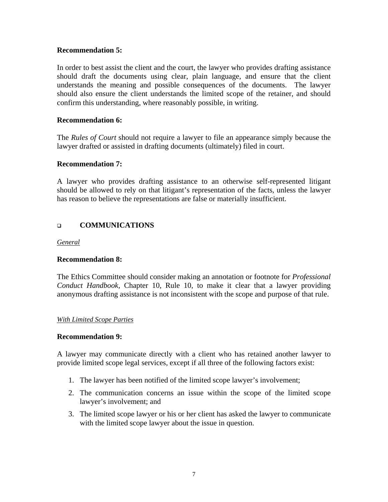#### **Recommendation 5:**

In order to best assist the client and the court, the lawyer who provides drafting assistance should draft the documents using clear, plain language, and ensure that the client understands the meaning and possible consequences of the documents. The lawyer should also ensure the client understands the limited scope of the retainer, and should confirm this understanding, where reasonably possible, in writing.

### **Recommendation 6:**

The *Rules of Court* should not require a lawyer to file an appearance simply because the lawyer drafted or assisted in drafting documents (ultimately) filed in court.

### **Recommendation 7:**

A lawyer who provides drafting assistance to an otherwise self-represented litigant should be allowed to rely on that litigant's representation of the facts, unless the lawyer has reason to believe the representations are false or materially insufficient.

## **COMMUNICATIONS**

*General*

#### **Recommendation 8:**

The Ethics Committee should consider making an annotation or footnote for *Professional Conduct Handbook,* Chapter 10, Rule 10, to make it clear that a lawyer providing anonymous drafting assistance is not inconsistent with the scope and purpose of that rule.

#### *With Limited Scope Parties*

#### **Recommendation 9:**

A lawyer may communicate directly with a client who has retained another lawyer to provide limited scope legal services, except if all three of the following factors exist:

- 1. The lawyer has been notified of the limited scope lawyer's involvement;
- 2. The communication concerns an issue within the scope of the limited scope lawyer's involvement; and
- 3. The limited scope lawyer or his or her client has asked the lawyer to communicate with the limited scope lawyer about the issue in question.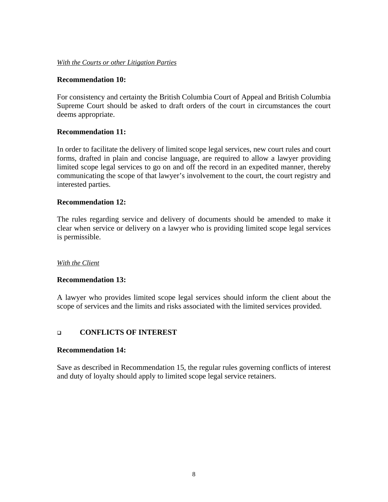#### *With the Courts or other Litigation Parties*

#### **Recommendation 10:**

For consistency and certainty the British Columbia Court of Appeal and British Columbia Supreme Court should be asked to draft orders of the court in circumstances the court deems appropriate.

#### **Recommendation 11:**

In order to facilitate the delivery of limited scope legal services, new court rules and court forms, drafted in plain and concise language, are required to allow a lawyer providing limited scope legal services to go on and off the record in an expedited manner, thereby communicating the scope of that lawyer's involvement to the court, the court registry and interested parties.

#### **Recommendation 12:**

The rules regarding service and delivery of documents should be amended to make it clear when service or delivery on a lawyer who is providing limited scope legal services is permissible.

#### *With the Client*

#### **Recommendation 13:**

A lawyer who provides limited scope legal services should inform the client about the scope of services and the limits and risks associated with the limited services provided.

### **CONFLICTS OF INTEREST**

#### **Recommendation 14:**

Save as described in Recommendation 15, the regular rules governing conflicts of interest and duty of loyalty should apply to limited scope legal service retainers.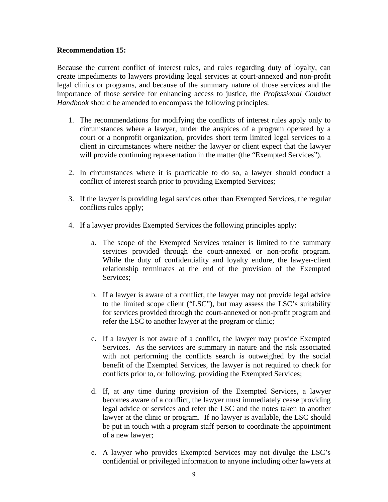#### **Recommendation 15:**

Because the current conflict of interest rules, and rules regarding duty of loyalty, can create impediments to lawyers providing legal services at court-annexed and non-profit legal clinics or programs, and because of the summary nature of those services and the importance of those service for enhancing access to justice, the *Professional Conduct Handbook* should be amended to encompass the following principles:

- 1. The recommendations for modifying the conflicts of interest rules apply only to circumstances where a lawyer, under the auspices of a program operated by a court or a nonprofit organization, provides short term limited legal services to a client in circumstances where neither the lawyer or client expect that the lawyer will provide continuing representation in the matter (the "Exempted Services").
- 2. In circumstances where it is practicable to do so, a lawyer should conduct a conflict of interest search prior to providing Exempted Services;
- 3. If the lawyer is providing legal services other than Exempted Services, the regular conflicts rules apply;
- 4. If a lawyer provides Exempted Services the following principles apply:
	- a. The scope of the Exempted Services retainer is limited to the summary services provided through the court-annexed or non-profit program. While the duty of confidentiality and loyalty endure, the lawyer-client relationship terminates at the end of the provision of the Exempted Services;
	- b. If a lawyer is aware of a conflict, the lawyer may not provide legal advice to the limited scope client ("LSC"), but may assess the LSC's suitability for services provided through the court-annexed or non-profit program and refer the LSC to another lawyer at the program or clinic;
	- c. If a lawyer is not aware of a conflict, the lawyer may provide Exempted Services. As the services are summary in nature and the risk associated with not performing the conflicts search is outweighed by the social benefit of the Exempted Services, the lawyer is not required to check for conflicts prior to, or following, providing the Exempted Services;
	- d. If, at any time during provision of the Exempted Services, a lawyer becomes aware of a conflict, the lawyer must immediately cease providing legal advice or services and refer the LSC and the notes taken to another lawyer at the clinic or program. If no lawyer is available, the LSC should be put in touch with a program staff person to coordinate the appointment of a new lawyer;
	- e. A lawyer who provides Exempted Services may not divulge the LSC's confidential or privileged information to anyone including other lawyers at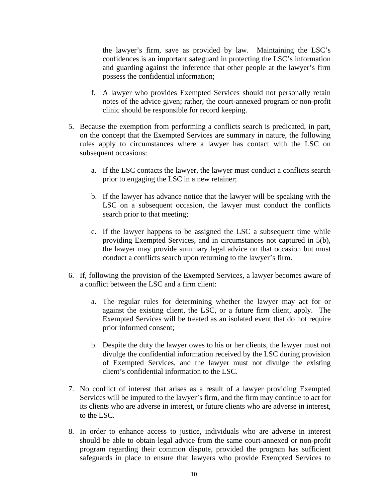the lawyer's firm, save as provided by law. Maintaining the LSC's confidences is an important safeguard in protecting the LSC's information and guarding against the inference that other people at the lawyer's firm possess the confidential information;

- f. A lawyer who provides Exempted Services should not personally retain notes of the advice given; rather, the court-annexed program or non-profit clinic should be responsible for record keeping.
- 5. Because the exemption from performing a conflicts search is predicated, in part, on the concept that the Exempted Services are summary in nature, the following rules apply to circumstances where a lawyer has contact with the LSC on subsequent occasions:
	- a. If the LSC contacts the lawyer, the lawyer must conduct a conflicts search prior to engaging the LSC in a new retainer;
	- b. If the lawyer has advance notice that the lawyer will be speaking with the LSC on a subsequent occasion, the lawyer must conduct the conflicts search prior to that meeting;
	- c. If the lawyer happens to be assigned the LSC a subsequent time while providing Exempted Services, and in circumstances not captured in 5(b), the lawyer may provide summary legal advice on that occasion but must conduct a conflicts search upon returning to the lawyer's firm.
- 6. If, following the provision of the Exempted Services, a lawyer becomes aware of a conflict between the LSC and a firm client:
	- a. The regular rules for determining whether the lawyer may act for or against the existing client, the LSC, or a future firm client, apply. The Exempted Services will be treated as an isolated event that do not require prior informed consent;
	- b. Despite the duty the lawyer owes to his or her clients, the lawyer must not divulge the confidential information received by the LSC during provision of Exempted Services, and the lawyer must not divulge the existing client's confidential information to the LSC.
- 7. No conflict of interest that arises as a result of a lawyer providing Exempted Services will be imputed to the lawyer's firm, and the firm may continue to act for its clients who are adverse in interest, or future clients who are adverse in interest, to the LSC.
- 8. In order to enhance access to justice, individuals who are adverse in interest should be able to obtain legal advice from the same court-annexed or non-profit program regarding their common dispute, provided the program has sufficient safeguards in place to ensure that lawyers who provide Exempted Services to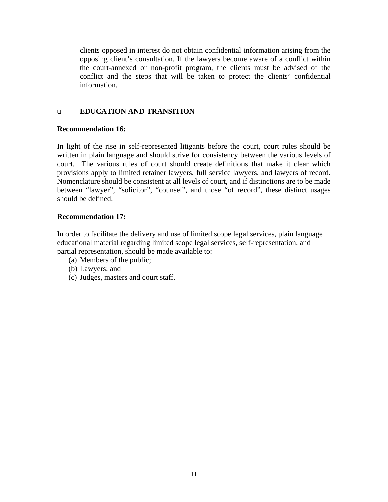clients opposed in interest do not obtain confidential information arising from the opposing client's consultation. If the lawyers become aware of a conflict within the court-annexed or non-profit program, the clients must be advised of the conflict and the steps that will be taken to protect the clients' confidential information.

# **EDUCATION AND TRANSITION**

### **Recommendation 16:**

In light of the rise in self-represented litigants before the court, court rules should be written in plain language and should strive for consistency between the various levels of court. The various rules of court should create definitions that make it clear which provisions apply to limited retainer lawyers, full service lawyers, and lawyers of record. Nomenclature should be consistent at all levels of court, and if distinctions are to be made between "lawyer", "solicitor", "counsel", and those "of record", these distinct usages should be defined.

## **Recommendation 17:**

In order to facilitate the delivery and use of limited scope legal services, plain language educational material regarding limited scope legal services, self-representation, and partial representation, should be made available to:

- (a) Members of the public;
- (b) Lawyers; and
- (c) Judges, masters and court staff.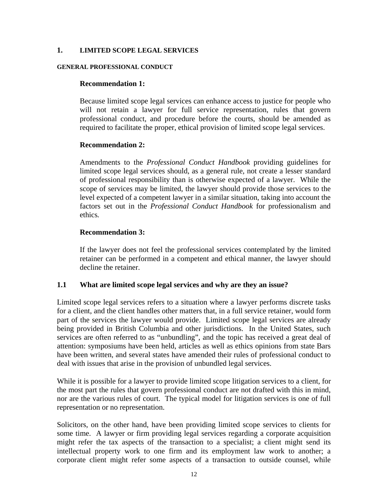#### **1. LIMITED SCOPE LEGAL SERVICES**

#### **GENERAL PROFESSIONAL CONDUCT**

#### **Recommendation 1:**

Because limited scope legal services can enhance access to justice for people who will not retain a lawyer for full service representation, rules that govern professional conduct, and procedure before the courts, should be amended as required to facilitate the proper, ethical provision of limited scope legal services.

#### **Recommendation 2:**

Amendments to the *Professional Conduct Handbook* providing guidelines for limited scope legal services should, as a general rule, not create a lesser standard of professional responsibility than is otherwise expected of a lawyer. While the scope of services may be limited, the lawyer should provide those services to the level expected of a competent lawyer in a similar situation, taking into account the factors set out in the *Professional Conduct Handbook* for professionalism and ethics*.*

#### **Recommendation 3:**

If the lawyer does not feel the professional services contemplated by the limited retainer can be performed in a competent and ethical manner, the lawyer should decline the retainer.

#### **1.1 What are limited scope legal services and why are they an issue?**

Limited scope legal services refers to a situation where a lawyer performs discrete tasks for a client, and the client handles other matters that, in a full service retainer, would form part of the services the lawyer would provide. Limited scope legal services are already being provided in British Columbia and other jurisdictions. In the United States, such services are often referred to as "unbundling", and the topic has received a great deal of attention: symposiums have been held, articles as well as ethics opinions from state Bars have been written, and several states have amended their rules of professional conduct to deal with issues that arise in the provision of unbundled legal services.

While it is possible for a lawyer to provide limited scope litigation services to a client, for the most part the rules that govern professional conduct are not drafted with this in mind, nor are the various rules of court. The typical model for litigation services is one of full representation or no representation.

Solicitors, on the other hand, have been providing limited scope services to clients for some time. A lawyer or firm providing legal services regarding a corporate acquisition might refer the tax aspects of the transaction to a specialist; a client might send its intellectual property work to one firm and its employment law work to another; a corporate client might refer some aspects of a transaction to outside counsel, while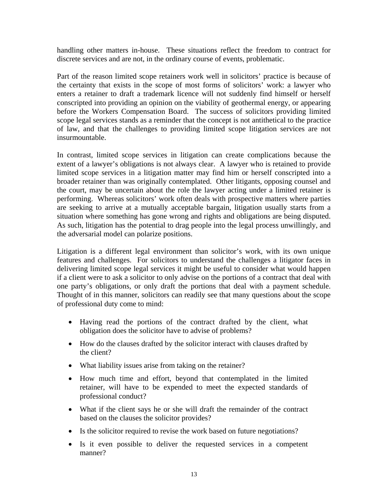handling other matters in-house. These situations reflect the freedom to contract for discrete services and are not, in the ordinary course of events, problematic.

Part of the reason limited scope retainers work well in solicitors' practice is because of the certainty that exists in the scope of most forms of solicitors' work: a lawyer who enters a retainer to draft a trademark licence will not suddenly find himself or herself conscripted into providing an opinion on the viability of geothermal energy, or appearing before the Workers Compensation Board. The success of solicitors providing limited scope legal services stands as a reminder that the concept is not antithetical to the practice of law, and that the challenges to providing limited scope litigation services are not insurmountable.

In contrast, limited scope services in litigation can create complications because the extent of a lawyer's obligations is not always clear. A lawyer who is retained to provide limited scope services in a litigation matter may find him or herself conscripted into a broader retainer than was originally contemplated. Other litigants, opposing counsel and the court, may be uncertain about the role the lawyer acting under a limited retainer is performing. Whereas solicitors' work often deals with prospective matters where parties are seeking to arrive at a mutually acceptable bargain, litigation usually starts from a situation where something has gone wrong and rights and obligations are being disputed. As such, litigation has the potential to drag people into the legal process unwillingly, and the adversarial model can polarize positions.

Litigation is a different legal environment than solicitor's work, with its own unique features and challenges. For solicitors to understand the challenges a litigator faces in delivering limited scope legal services it might be useful to consider what would happen if a client were to ask a solicitor to only advise on the portions of a contract that deal with one party's obligations, or only draft the portions that deal with a payment schedule. Thought of in this manner, solicitors can readily see that many questions about the scope of professional duty come to mind:

- Having read the portions of the contract drafted by the client, what obligation does the solicitor have to advise of problems?
- How do the clauses drafted by the solicitor interact with clauses drafted by the client?
- What liability issues arise from taking on the retainer?
- How much time and effort, beyond that contemplated in the limited retainer, will have to be expended to meet the expected standards of professional conduct?
- What if the client says he or she will draft the remainder of the contract based on the clauses the solicitor provides?
- Is the solicitor required to revise the work based on future negotiations?
- Is it even possible to deliver the requested services in a competent manner?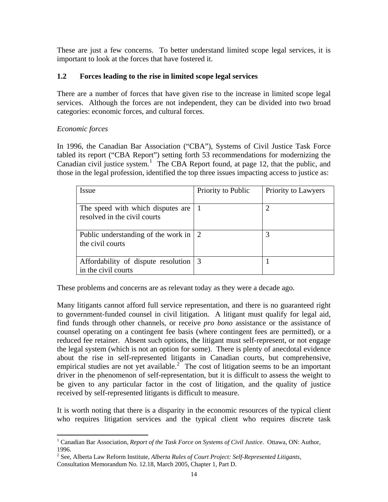These are just a few concerns. To better understand limited scope legal services, it is important to look at the forces that have fostered it.

# **1.2 Forces leading to the rise in limited scope legal services**

There are a number of forces that have given rise to the increase in limited scope legal services. Although the forces are not independent, they can be divided into two broad categories: economic forces, and cultural forces.

# *Economic forces*

 $\overline{a}$ 

In 1996, the Canadian Bar Association ("CBA"), Systems of Civil Justice Task Force tabled its report ("CBA Report") setting forth 53 recommendations for modernizing the Canadian civil justice system.<sup>[1](#page-13-0)</sup> The CBA Report found, at page 12, that the public, and those in the legal profession, identified the top three issues impacting access to justice as:

| Issue                                                             | Priority to Public | Priority to Lawyers |
|-------------------------------------------------------------------|--------------------|---------------------|
| The speed with which disputes are<br>resolved in the civil courts |                    |                     |
| Public understanding of the work in<br>the civil courts           | 2                  | 3                   |
| Affordability of dispute resolution<br>in the civil courts        | 3                  |                     |

These problems and concerns are as relevant today as they were a decade ago.

Many litigants cannot afford full service representation, and there is no guaranteed right to government-funded counsel in civil litigation. A litigant must qualify for legal aid, find funds through other channels, or receive *pro bono* assistance or the assistance of counsel operating on a contingent fee basis (where contingent fees are permitted), or a reduced fee retainer. Absent such options, the litigant must self-represent, or not engage the legal system (which is not an option for some). There is plenty of anecdotal evidence about the rise in self-represented litigants in Canadian courts, but comprehensive, empirical studies are not yet available.<sup>[2](#page-13-1)</sup> The cost of litigation seems to be an important driver in the phenomenon of self-representation, but it is difficult to assess the weight to be given to any particular factor in the cost of litigation, and the quality of justice received by self-represented litigants is difficult to measure.

It is worth noting that there is a disparity in the economic resources of the typical client who requires litigation services and the typical client who requires discrete task

<span id="page-13-0"></span><sup>&</sup>lt;sup>1</sup> Canadian Bar Association, *Report of the Task Force on Systems of Civil Justice*. Ottawa, ON: Author, 1996.

<span id="page-13-1"></span><sup>2</sup> See, Alberta Law Reform Institute, *Alberta Rules of Court Project: Self-Represented Litigants,* Consultation Memorandum No. 12.18, March 2005, Chapter 1, Part D.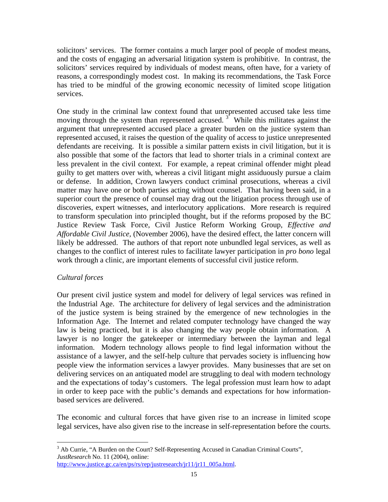solicitors' services. The former contains a much larger pool of people of modest means, and the costs of engaging an adversarial litigation system is prohibitive. In contrast, the solicitors' services required by individuals of modest means, often have, for a variety of reasons, a correspondingly modest cost. In making its recommendations, the Task Force has tried to be mindful of the growing economic necessity of limited scope litigation services.

One study in the criminal law context found that unrepresented accused take less time moving through the system than represented accused.<sup>[3](#page-14-0)</sup> While this militates against the argument that unrepresented accused place a greater burden on the justice system than represented accused, it raises the question of the quality of access to justice unrepresented defendants are receiving. It is possible a similar pattern exists in civil litigation, but it is also possible that some of the factors that lead to shorter trials in a criminal context are less prevalent in the civil context. For example, a repeat criminal offender might plead guilty to get matters over with, whereas a civil litigant might assiduously pursue a claim or defense. In addition, Crown lawyers conduct criminal prosecutions, whereas a civil matter may have one or both parties acting without counsel. That having been said, in a superior court the presence of counsel may drag out the litigation process through use of discoveries, expert witnesses, and interlocutory applications. More research is required to transform speculation into principled thought, but if the reforms proposed by the BC Justice Review Task Force, Civil Justice Reform Working Group, *Effective and Affordable Civil Justice,* (November 2006), have the desired effect, the latter concern will likely be addressed. The authors of that report note unbundled legal services, as well as changes to the conflict of interest rules to facilitate lawyer participation in *pro bono* legal work through a clinic, are important elements of successful civil justice reform.

## *Cultural forces*

Our present civil justice system and model for delivery of legal services was refined in the Industrial Age. The architecture for delivery of legal services and the administration of the justice system is being strained by the emergence of new technologies in the Information Age. The Internet and related computer technology have changed the way law is being practiced, but it is also changing the way people obtain information. A lawyer is no longer the gatekeeper or intermediary between the layman and legal information. Modern technology allows people to find legal information without the assistance of a lawyer, and the self-help culture that pervades society is influencing how people view the information services a lawyer provides. Many businesses that are set on delivering services on an antiquated model are struggling to deal with modern technology and the expectations of today's customers. The legal profession must learn how to adapt in order to keep pace with the public's demands and expectations for how informationbased services are delivered.

The economic and cultural forces that have given rise to an increase in limited scope legal services, have also given rise to the increase in self-representation before the courts.

<span id="page-14-0"></span> $\overline{a}$ <sup>3</sup> Ab Currie, "A Burden on the Court? Self-Representing Accused in Canadian Criminal Courts", *JustResearch* No. 11 (2004), online:

[http://www.justice.gc.ca/en/ps/rs/rep/justresearch/jr11/jr11\\_005a.html](http://www.justice.gc.ca/en/ps/rs/rep/justresearch/jr11/jr11_005a.html).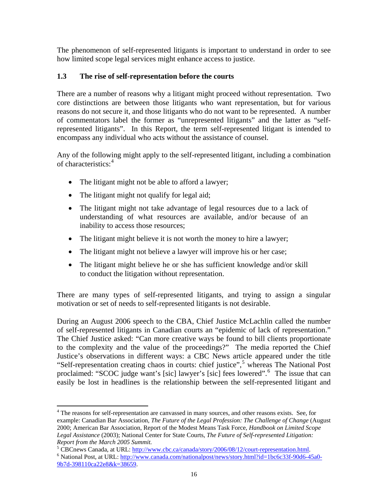The phenomenon of self-represented litigants is important to understand in order to see how limited scope legal services might enhance access to justice.

# **1.3 The rise of self-representation before the courts**

There are a number of reasons why a litigant might proceed without representation. Two core distinctions are between those litigants who want representation, but for various reasons do not secure it, and those litigants who do not want to be represented. A number of commentators label the former as "unrepresented litigants" and the latter as "selfrepresented litigants". In this Report, the term self-represented litigant is intended to encompass any individual who acts without the assistance of counsel.

Any of the following might apply to the self-represented litigant, including a combination of characteristics:<sup>[4](#page-15-0)</sup>

- The litigant might not be able to afford a lawyer;
- The litigant might not qualify for legal aid;

 $\overline{a}$ 

- The litigant might not take advantage of legal resources due to a lack of understanding of what resources are available, and/or because of an inability to access those resources;
- The litigant might believe it is not worth the money to hire a lawyer;
- The litigant might not believe a lawyer will improve his or her case;
- The litigant might believe he or she has sufficient knowledge and/or skill to conduct the litigation without representation.

There are many types of self-represented litigants, and trying to assign a singular motivation or set of needs to self-represented litigants is not desirable.

During an August 2006 speech to the CBA, Chief Justice McLachlin called the number of self-represented litigants in Canadian courts an "epidemic of lack of representation." The Chief Justice asked: "Can more creative ways be found to bill clients proportionate to the complexity and the value of the proceedings?" The media reported the Chief Justice's observations in different ways: a CBC News article appeared under the title "Self-representation creating chaos in courts: chief justice",<sup>[5](#page-15-1)</sup> whereas The National Post proclaimed: "SCOC judge want's [sic] lawyer's [sic] fees lowered".<sup>[6](#page-15-2)</sup> The issue that can easily be lost in headlines is the relationship between the self-represented litigant and

<span id="page-15-0"></span><sup>&</sup>lt;sup>4</sup> The reasons for self-representation are canvassed in many sources, and other reasons exists. See, for example: Canadian Bar Association, *The Future of the Legal Profession: The Challenge of Change* (August 2000; American Bar Association, Report of the Modest Means Task Force, *Handbook on Limited Scope Legal Assistance* (2003); National Center for State Courts, *The Future of Self-represented Litigation: Report from the March 2005 Summit.*

 $^5$  CBCnews Canada, at URL:  $\frac{http://www.cbc.ca/canada/story/2006/08/12/court-representation.html}{http://www.cop.coac/canada/story/2006/08/12/court-representation.html}.$ 

<span id="page-15-2"></span><span id="page-15-1"></span><sup>&</sup>lt;sup>6</sup> National Post, at URL: [http://www.canada.com/nationalpost/news/story.html?id=1bc6c33f-90d6-45a0-](http://www.canada.com/nationalpost/news/story.html?id=1bc6c33f-90d6-45a0-9b7d-398110ca22e8&k=38659) [9b7d-398110ca22e8&k=38659](http://www.canada.com/nationalpost/news/story.html?id=1bc6c33f-90d6-45a0-9b7d-398110ca22e8&k=38659).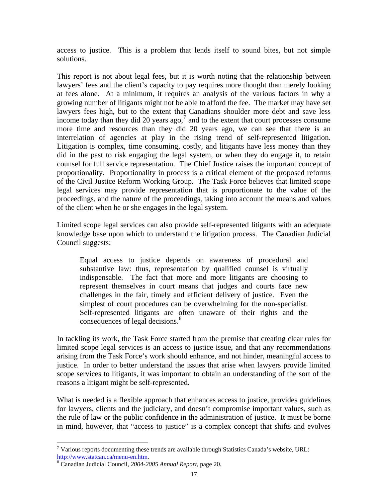access to justice. This is a problem that lends itself to sound bites, but not simple solutions.

This report is not about legal fees, but it is worth noting that the relationship between lawyers' fees and the client's capacity to pay requires more thought than merely looking at fees alone. At a minimum, it requires an analysis of the various factors in why a growing number of litigants might not be able to afford the fee. The market may have set lawyers fees high, but to the extent that Canadians shoulder more debt and save less income today than they did 20 years ago, $<sup>7</sup>$  $<sup>7</sup>$  $<sup>7</sup>$  and to the extent that court processes consume</sup> more time and resources than they did 20 years ago, we can see that there is an interrelation of agencies at play in the rising trend of self-represented litigation. Litigation is complex, time consuming, costly, and litigants have less money than they did in the past to risk engaging the legal system, or when they do engage it, to retain counsel for full service representation. The Chief Justice raises the important concept of proportionality. Proportionality in process is a critical element of the proposed reforms of the Civil Justice Reform Working Group. The Task Force believes that limited scope legal services may provide representation that is proportionate to the value of the proceedings, and the nature of the proceedings, taking into account the means and values of the client when he or she engages in the legal system.

Limited scope legal services can also provide self-represented litigants with an adequate knowledge base upon which to understand the litigation process. The Canadian Judicial Council suggests:

Equal access to justice depends on awareness of procedural and substantive law: thus, representation by qualified counsel is virtually indispensable. The fact that more and more litigants are choosing to represent themselves in court means that judges and courts face new challenges in the fair, timely and efficient delivery of justice. Even the simplest of court procedures can be overwhelming for the non-specialist. Self-represented litigants are often unaware of their rights and the consequences of legal decisions.<sup>[8](#page-16-1)</sup>

In tackling its work, the Task Force started from the premise that creating clear rules for limited scope legal services is an access to justice issue, and that any recommendations arising from the Task Force's work should enhance, and not hinder, meaningful access to justice. In order to better understand the issues that arise when lawyers provide limited scope services to litigants, it was important to obtain an understanding of the sort of the reasons a litigant might be self-represented.

What is needed is a flexible approach that enhances access to justice, provides guidelines for lawyers, clients and the judiciary, and doesn't compromise important values, such as the rule of law or the public confidence in the administration of justice. It must be borne in mind, however, that "access to justice" is a complex concept that shifts and evolves

<span id="page-16-0"></span> $\overline{a}$  $7$  Various reports documenting these trends are available through Statistics Canada's website, URL: [http://www.statcan.ca/menu-en.htm.](http://www.statcan.ca/menu-en.htm) [8](http://www.statcan.ca/menu-en.htm)

<span id="page-16-1"></span>Canadian Judicial Council, *2004-2005 Annual Report*, page 20.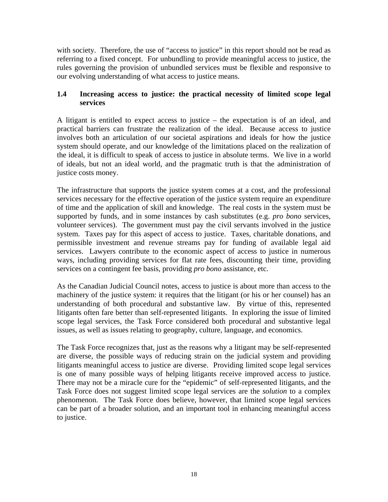with society. Therefore, the use of "access to justice" in this report should not be read as referring to a fixed concept. For unbundling to provide meaningful access to justice, the rules governing the provision of unbundled services must be flexible and responsive to our evolving understanding of what access to justice means.

## **1.4 Increasing access to justice: the practical necessity of limited scope legal services**

A litigant is entitled to expect access to justice – the expectation is of an ideal, and practical barriers can frustrate the realization of the ideal. Because access to justice involves both an articulation of our societal aspirations and ideals for how the justice system should operate, and our knowledge of the limitations placed on the realization of the ideal, it is difficult to speak of access to justice in absolute terms. We live in a world of ideals, but not an ideal world, and the pragmatic truth is that the administration of justice costs money.

The infrastructure that supports the justice system comes at a cost, and the professional services necessary for the effective operation of the justice system require an expenditure of time and the application of skill and knowledge. The real costs in the system must be supported by funds, and in some instances by cash substitutes (e.g. *pro bono* services, volunteer services). The government must pay the civil servants involved in the justice system. Taxes pay for this aspect of access to justice. Taxes, charitable donations, and permissible investment and revenue streams pay for funding of available legal aid services. Lawyers contribute to the economic aspect of access to justice in numerous ways, including providing services for flat rate fees, discounting their time, providing services on a contingent fee basis, providing *pro bono* assistance, etc.

As the Canadian Judicial Council notes, access to justice is about more than access to the machinery of the justice system: it requires that the litigant (or his or her counsel) has an understanding of both procedural and substantive law. By virtue of this, represented litigants often fare better than self-represented litigants. In exploring the issue of limited scope legal services, the Task Force considered both procedural and substantive legal issues, as well as issues relating to geography, culture, language, and economics.

The Task Force recognizes that, just as the reasons why a litigant may be self-represented are diverse, the possible ways of reducing strain on the judicial system and providing litigants meaningful access to justice are diverse. Providing limited scope legal services is one of many possible ways of helping litigants receive improved access to justice. There may not be a miracle cure for the "epidemic" of self-represented litigants, and the Task Force does not suggest limited scope legal services are the *solution* to a complex phenomenon. The Task Force does believe, however, that limited scope legal services can be part of a broader solution, and an important tool in enhancing meaningful access to justice.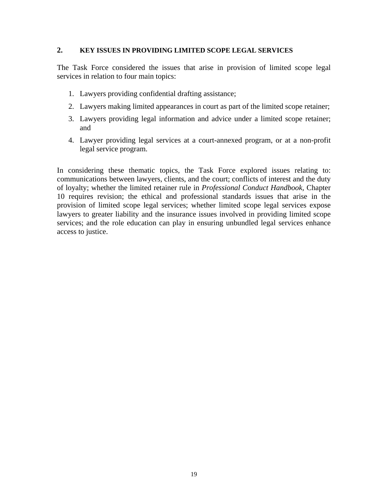## **2. KEY ISSUES IN PROVIDING LIMITED SCOPE LEGAL SERVICES**

The Task Force considered the issues that arise in provision of limited scope legal services in relation to four main topics:

- 1. Lawyers providing confidential drafting assistance;
- 2. Lawyers making limited appearances in court as part of the limited scope retainer;
- 3. Lawyers providing legal information and advice under a limited scope retainer; and
- 4. Lawyer providing legal services at a court-annexed program, or at a non-profit legal service program.

In considering these thematic topics, the Task Force explored issues relating to: communications between lawyers, clients, and the court; conflicts of interest and the duty of loyalty; whether the limited retainer rule in *Professional Conduct Handbook,* Chapter 10 requires revision; the ethical and professional standards issues that arise in the provision of limited scope legal services; whether limited scope legal services expose lawyers to greater liability and the insurance issues involved in providing limited scope services; and the role education can play in ensuring unbundled legal services enhance access to justice.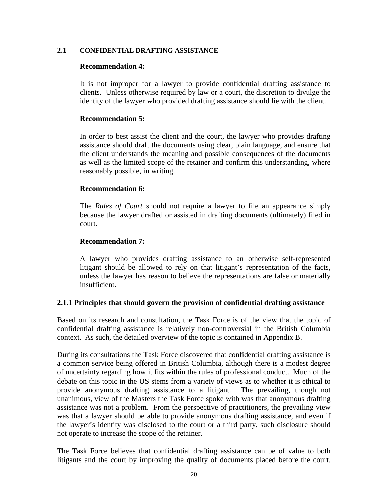#### **2.1 CONFIDENTIAL DRAFTING ASSISTANCE**

#### **Recommendation 4:**

It is not improper for a lawyer to provide confidential drafting assistance to clients. Unless otherwise required by law or a court, the discretion to divulge the identity of the lawyer who provided drafting assistance should lie with the client.

### **Recommendation 5:**

In order to best assist the client and the court, the lawyer who provides drafting assistance should draft the documents using clear, plain language, and ensure that the client understands the meaning and possible consequences of the documents as well as the limited scope of the retainer and confirm this understanding, where reasonably possible, in writing.

### **Recommendation 6:**

The *Rules of Court* should not require a lawyer to file an appearance simply because the lawyer drafted or assisted in drafting documents (ultimately) filed in court.

### **Recommendation 7:**

A lawyer who provides drafting assistance to an otherwise self-represented litigant should be allowed to rely on that litigant's representation of the facts, unless the lawyer has reason to believe the representations are false or materially insufficient.

#### **2.1.1 Principles that should govern the provision of confidential drafting assistance**

Based on its research and consultation, the Task Force is of the view that the topic of confidential drafting assistance is relatively non-controversial in the British Columbia context. As such, the detailed overview of the topic is contained in Appendix B.

During its consultations the Task Force discovered that confidential drafting assistance is a common service being offered in British Columbia, although there is a modest degree of uncertainty regarding how it fits within the rules of professional conduct. Much of the debate on this topic in the US stems from a variety of views as to whether it is ethical to provide anonymous drafting assistance to a litigant. The prevailing, though not unanimous, view of the Masters the Task Force spoke with was that anonymous drafting assistance was not a problem. From the perspective of practitioners, the prevailing view was that a lawyer should be able to provide anonymous drafting assistance, and even if the lawyer's identity was disclosed to the court or a third party, such disclosure should not operate to increase the scope of the retainer.

The Task Force believes that confidential drafting assistance can be of value to both litigants and the court by improving the quality of documents placed before the court.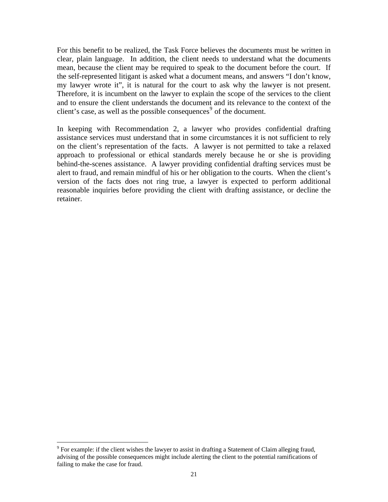For this benefit to be realized, the Task Force believes the documents must be written in clear, plain language. In addition, the client needs to understand what the documents mean, because the client may be required to speak to the document before the court. If the self-represented litigant is asked what a document means, and answers "I don't know, my lawyer wrote it", it is natural for the court to ask why the lawyer is not present. Therefore, it is incumbent on the lawyer to explain the scope of the services to the client and to ensure the client understands the document and its relevance to the context of the client's case, as well as the possible consequences<sup>[9](#page-20-0)</sup> of the document.

In keeping with Recommendation 2, a lawyer who provides confidential drafting assistance services must understand that in some circumstances it is not sufficient to rely on the client's representation of the facts. A lawyer is not permitted to take a relaxed approach to professional or ethical standards merely because he or she is providing behind-the-scenes assistance. A lawyer providing confidential drafting services must be alert to fraud, and remain mindful of his or her obligation to the courts. When the client's version of the facts does not ring true, a lawyer is expected to perform additional reasonable inquiries before providing the client with drafting assistance, or decline the retainer.

 $\overline{a}$ 

<span id="page-20-0"></span> $9^9$  For example: if the client wishes the lawyer to assist in drafting a Statement of Claim alleging fraud, advising of the possible consequences might include alerting the client to the potential ramifications of failing to make the case for fraud.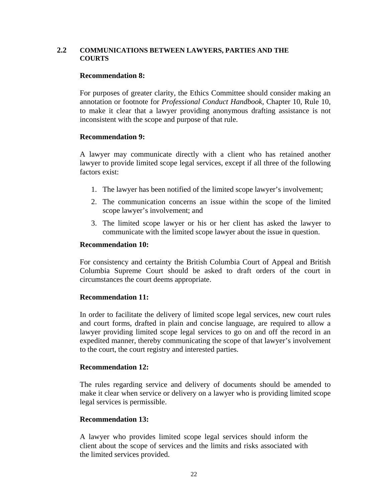#### **2.2 COMMUNICATIONS BETWEEN LAWYERS, PARTIES AND THE COURTS**

#### **Recommendation 8:**

For purposes of greater clarity, the Ethics Committee should consider making an annotation or footnote for *Professional Conduct Handbook,* Chapter 10, Rule 10, to make it clear that a lawyer providing anonymous drafting assistance is not inconsistent with the scope and purpose of that rule.

#### **Recommendation 9:**

A lawyer may communicate directly with a client who has retained another lawyer to provide limited scope legal services, except if all three of the following factors exist:

- 1. The lawyer has been notified of the limited scope lawyer's involvement;
- 2. The communication concerns an issue within the scope of the limited scope lawyer's involvement; and
- 3. The limited scope lawyer or his or her client has asked the lawyer to communicate with the limited scope lawyer about the issue in question.

#### **Recommendation 10:**

For consistency and certainty the British Columbia Court of Appeal and British Columbia Supreme Court should be asked to draft orders of the court in circumstances the court deems appropriate.

#### **Recommendation 11:**

In order to facilitate the delivery of limited scope legal services, new court rules and court forms, drafted in plain and concise language, are required to allow a lawyer providing limited scope legal services to go on and off the record in an expedited manner, thereby communicating the scope of that lawyer's involvement to the court, the court registry and interested parties.

#### **Recommendation 12:**

The rules regarding service and delivery of documents should be amended to make it clear when service or delivery on a lawyer who is providing limited scope legal services is permissible.

#### **Recommendation 13:**

A lawyer who provides limited scope legal services should inform the client about the scope of services and the limits and risks associated with the limited services provided.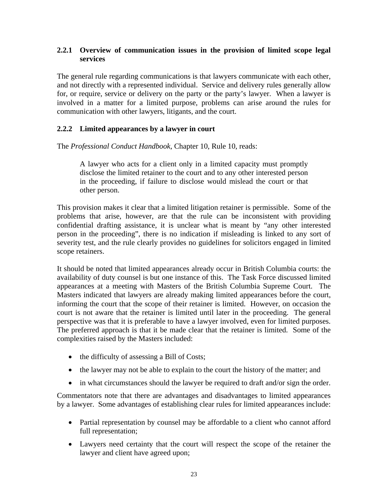### **2.2.1 Overview of communication issues in the provision of limited scope legal services**

The general rule regarding communications is that lawyers communicate with each other, and not directly with a represented individual. Service and delivery rules generally allow for, or require, service or delivery on the party or the party's lawyer. When a lawyer is involved in a matter for a limited purpose, problems can arise around the rules for communication with other lawyers, litigants, and the court.

# **2.2.2 Limited appearances by a lawyer in court**

The *Professional Conduct Handbook*, Chapter 10, Rule 10, reads:

A lawyer who acts for a client only in a limited capacity must promptly disclose the limited retainer to the court and to any other interested person in the proceeding, if failure to disclose would mislead the court or that other person.

This provision makes it clear that a limited litigation retainer is permissible. Some of the problems that arise, however, are that the rule can be inconsistent with providing confidential drafting assistance, it is unclear what is meant by "any other interested person in the proceeding", there is no indication if misleading is linked to any sort of severity test, and the rule clearly provides no guidelines for solicitors engaged in limited scope retainers.

It should be noted that limited appearances already occur in British Columbia courts: the availability of duty counsel is but one instance of this. The Task Force discussed limited appearances at a meeting with Masters of the British Columbia Supreme Court. The Masters indicated that lawyers are already making limited appearances before the court, informing the court that the scope of their retainer is limited. However, on occasion the court is not aware that the retainer is limited until later in the proceeding. The general perspective was that it is preferable to have a lawyer involved, even for limited purposes. The preferred approach is that it be made clear that the retainer is limited. Some of the complexities raised by the Masters included:

- the difficulty of assessing a Bill of Costs;
- the lawyer may not be able to explain to the court the history of the matter; and
- in what circumstances should the lawyer be required to draft and/or sign the order.

Commentators note that there are advantages and disadvantages to limited appearances by a lawyer. Some advantages of establishing clear rules for limited appearances include:

- Partial representation by counsel may be affordable to a client who cannot afford full representation;
- Lawyers need certainty that the court will respect the scope of the retainer the lawyer and client have agreed upon;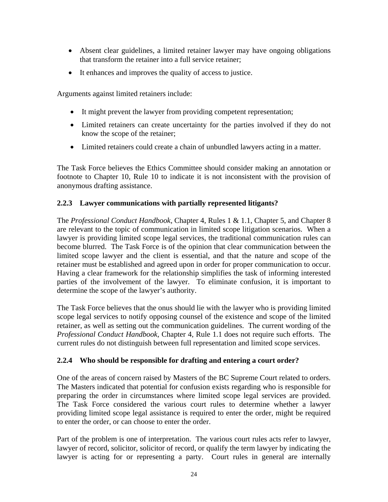- Absent clear guidelines, a limited retainer lawyer may have ongoing obligations that transform the retainer into a full service retainer;
- It enhances and improves the quality of access to justice.

Arguments against limited retainers include:

- It might prevent the lawyer from providing competent representation;
- Limited retainers can create uncertainty for the parties involved if they do not know the scope of the retainer;
- Limited retainers could create a chain of unbundled lawyers acting in a matter.

The Task Force believes the Ethics Committee should consider making an annotation or footnote to Chapter 10, Rule 10 to indicate it is not inconsistent with the provision of anonymous drafting assistance.

# **2.2.3 Lawyer communications with partially represented litigants?**

The *Professional Conduct Handbook,* Chapter 4, Rules 1 & 1.1, Chapter 5, and Chapter 8 are relevant to the topic of communication in limited scope litigation scenarios. When a lawyer is providing limited scope legal services, the traditional communication rules can become blurred. The Task Force is of the opinion that clear communication between the limited scope lawyer and the client is essential, and that the nature and scope of the retainer must be established and agreed upon in order for proper communication to occur. Having a clear framework for the relationship simplifies the task of informing interested parties of the involvement of the lawyer. To eliminate confusion, it is important to determine the scope of the lawyer's authority.

The Task Force believes that the onus should lie with the lawyer who is providing limited scope legal services to notify opposing counsel of the existence and scope of the limited retainer, as well as setting out the communication guidelines. The current wording of the *Professional Conduct Handbook,* Chapter 4, Rule 1.1 does not require such efforts. The current rules do not distinguish between full representation and limited scope services.

## **2.2.4 Who should be responsible for drafting and entering a court order?**

One of the areas of concern raised by Masters of the BC Supreme Court related to orders. The Masters indicated that potential for confusion exists regarding who is responsible for preparing the order in circumstances where limited scope legal services are provided. The Task Force considered the various court rules to determine whether a lawyer providing limited scope legal assistance is required to enter the order, might be required to enter the order, or can choose to enter the order.

Part of the problem is one of interpretation. The various court rules acts refer to lawyer, lawyer of record, solicitor, solicitor of record, or qualify the term lawyer by indicating the lawyer is acting for or representing a party. Court rules in general are internally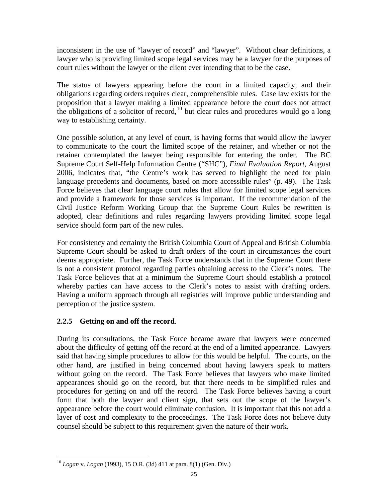inconsistent in the use of "lawyer of record" and "lawyer". Without clear definitions, a lawyer who is providing limited scope legal services may be a lawyer for the purposes of court rules without the lawyer or the client ever intending that to be the case.

The status of lawyers appearing before the court in a limited capacity, and their obligations regarding orders requires clear, comprehensible rules. Case law exists for the proposition that a lawyer making a limited appearance before the court does not attract the obligations of a solicitor of record,<sup>[10](#page-24-0)</sup> but clear rules and procedures would go a long way to establishing certainty.

One possible solution, at any level of court, is having forms that would allow the lawyer to communicate to the court the limited scope of the retainer, and whether or not the retainer contemplated the lawyer being responsible for entering the order. The BC Supreme Court Self-Help Information Centre ("SHC"), *Final Evaluation Report,* August 2006, indicates that, "the Centre's work has served to highlight the need for plain language precedents and documents, based on more accessible rules" (p. 49). The Task Force believes that clear language court rules that allow for limited scope legal services and provide a framework for those services is important. If the recommendation of the Civil Justice Reform Working Group that the Supreme Court Rules be rewritten is adopted, clear definitions and rules regarding lawyers providing limited scope legal service should form part of the new rules.

For consistency and certainty the British Columbia Court of Appeal and British Columbia Supreme Court should be asked to draft orders of the court in circumstances the court deems appropriate. Further, the Task Force understands that in the Supreme Court there is not a consistent protocol regarding parties obtaining access to the Clerk's notes. The Task Force believes that at a minimum the Supreme Court should establish a protocol whereby parties can have access to the Clerk's notes to assist with drafting orders. Having a uniform approach through all registries will improve public understanding and perception of the justice system.

# **2.2.5 Getting on and off the record**.

 $\overline{a}$ 

During its consultations, the Task Force became aware that lawyers were concerned about the difficulty of getting off the record at the end of a limited appearance. Lawyers said that having simple procedures to allow for this would be helpful. The courts, on the other hand, are justified in being concerned about having lawyers speak to matters without going on the record. The Task Force believes that lawyers who make limited appearances should go on the record, but that there needs to be simplified rules and procedures for getting on and off the record. The Task Force believes having a court form that both the lawyer and client sign, that sets out the scope of the lawyer's appearance before the court would eliminate confusion. It is important that this not add a layer of cost and complexity to the proceedings. The Task Force does not believe duty counsel should be subject to this requirement given the nature of their work.

<span id="page-24-0"></span><sup>10</sup> *Logan* v. *Logan* (1993), 15 O.R. (3d) 411 at para. 8(1) (Gen. Div.)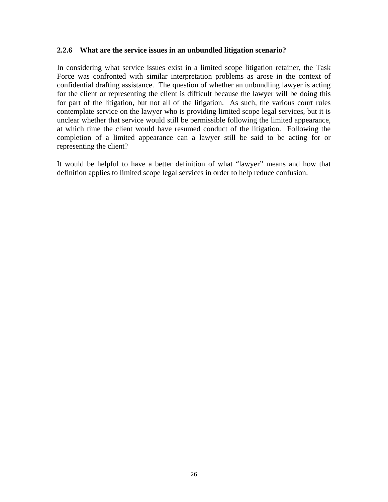#### **2.2.6 What are the service issues in an unbundled litigation scenario?**

In considering what service issues exist in a limited scope litigation retainer, the Task Force was confronted with similar interpretation problems as arose in the context of confidential drafting assistance. The question of whether an unbundling lawyer is acting for the client or representing the client is difficult because the lawyer will be doing this for part of the litigation, but not all of the litigation. As such, the various court rules contemplate service on the lawyer who is providing limited scope legal services, but it is unclear whether that service would still be permissible following the limited appearance, at which time the client would have resumed conduct of the litigation. Following the completion of a limited appearance can a lawyer still be said to be acting for or representing the client?

It would be helpful to have a better definition of what "lawyer" means and how that definition applies to limited scope legal services in order to help reduce confusion.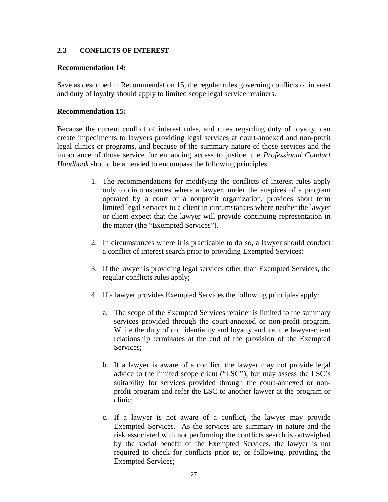### **2.3 CONFLICTS OF INTEREST**

#### **Recommendation 14:**

Save as described in Recommendation 15, the regular rules governing conflicts of interest and duty of loyalty should apply to limited scope legal service retainers.

### **Recommendation 15:**

Because the current conflict of interest rules, and rules regarding duty of loyalty, can create impediments to lawyers providing legal services at court-annexed and non-profit legal clinics or programs, and because of the summary nature of those services and the importance of those service for enhancing access to justice, the *Professional Conduct Handbook* should be amended to encompass the following principles:

- 1. The recommendations for modifying the conflicts of interest rules apply only to circumstances where a lawyer, under the auspices of a program operated by a court or a nonprofit organization, provides short term limited legal services to a client in circumstances where neither the lawyer or client expect that the lawyer will provide continuing representation in the matter (the "Exempted Services").
- 2. In circumstances where it is practicable to do so, a lawyer should conduct a conflict of interest search prior to providing Exempted Services;
- 3. If the lawyer is providing legal services other than Exempted Services, the regular conflicts rules apply;
- 4. If a lawyer provides Exempted Services the following principles apply:
	- a. The scope of the Exempted Services retainer is limited to the summary services provided through the court-annexed or non-profit program. While the duty of confidentiality and loyalty endure, the lawyer-client relationship terminates at the end of the provision of the Exempted Services;
	- b. If a lawyer is aware of a conflict, the lawyer may not provide legal advice to the limited scope client ("LSC"), but may assess the LSC's suitability for services provided through the court-annexed or nonprofit program and refer the LSC to another lawyer at the program or clinic;
	- c. If a lawyer is not aware of a conflict, the lawyer may provide Exempted Services. As the services are summary in nature and the risk associated with not performing the conflicts search is outweighed by the social benefit of the Exempted Services, the lawyer is not required to check for conflicts prior to, or following, providing the Exempted Services;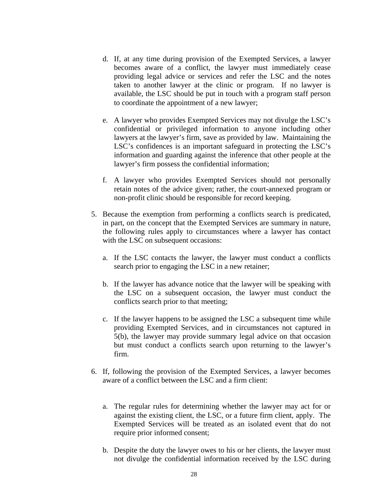- d. If, at any time during provision of the Exempted Services, a lawyer becomes aware of a conflict, the lawyer must immediately cease providing legal advice or services and refer the LSC and the notes taken to another lawyer at the clinic or program. If no lawyer is available, the LSC should be put in touch with a program staff person to coordinate the appointment of a new lawyer;
- e. A lawyer who provides Exempted Services may not divulge the LSC's confidential or privileged information to anyone including other lawyers at the lawyer's firm, save as provided by law. Maintaining the LSC's confidences is an important safeguard in protecting the LSC's information and guarding against the inference that other people at the lawyer's firm possess the confidential information;
- f. A lawyer who provides Exempted Services should not personally retain notes of the advice given; rather, the court-annexed program or non-profit clinic should be responsible for record keeping.
- 5. Because the exemption from performing a conflicts search is predicated, in part, on the concept that the Exempted Services are summary in nature, the following rules apply to circumstances where a lawyer has contact with the LSC on subsequent occasions:
	- a. If the LSC contacts the lawyer, the lawyer must conduct a conflicts search prior to engaging the LSC in a new retainer;
	- b. If the lawyer has advance notice that the lawyer will be speaking with the LSC on a subsequent occasion, the lawyer must conduct the conflicts search prior to that meeting;
	- c. If the lawyer happens to be assigned the LSC a subsequent time while providing Exempted Services, and in circumstances not captured in 5(b), the lawyer may provide summary legal advice on that occasion but must conduct a conflicts search upon returning to the lawyer's firm.
- 6. If, following the provision of the Exempted Services, a lawyer becomes aware of a conflict between the LSC and a firm client:
	- a. The regular rules for determining whether the lawyer may act for or against the existing client, the LSC, or a future firm client, apply. The Exempted Services will be treated as an isolated event that do not require prior informed consent;
	- b. Despite the duty the lawyer owes to his or her clients, the lawyer must not divulge the confidential information received by the LSC during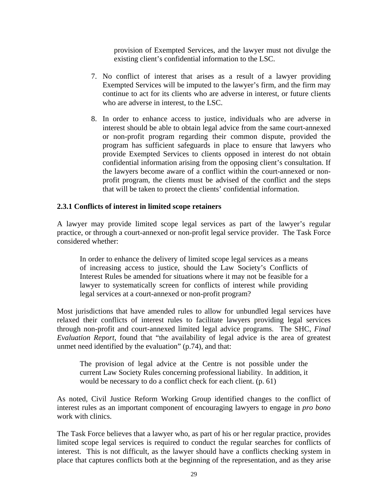provision of Exempted Services, and the lawyer must not divulge the existing client's confidential information to the LSC.

- 7. No conflict of interest that arises as a result of a lawyer providing Exempted Services will be imputed to the lawyer's firm, and the firm may continue to act for its clients who are adverse in interest, or future clients who are adverse in interest, to the LSC.
- 8. In order to enhance access to justice, individuals who are adverse in interest should be able to obtain legal advice from the same court-annexed or non-profit program regarding their common dispute, provided the program has sufficient safeguards in place to ensure that lawyers who provide Exempted Services to clients opposed in interest do not obtain confidential information arising from the opposing client's consultation. If the lawyers become aware of a conflict within the court-annexed or nonprofit program, the clients must be advised of the conflict and the steps that will be taken to protect the clients' confidential information.

### **2.3.1 Conflicts of interest in limited scope retainers**

A lawyer may provide limited scope legal services as part of the lawyer's regular practice, or through a court-annexed or non-profit legal service provider. The Task Force considered whether:

In order to enhance the delivery of limited scope legal services as a means of increasing access to justice, should the Law Society's Conflicts of Interest Rules be amended for situations where it may not be feasible for a lawyer to systematically screen for conflicts of interest while providing legal services at a court-annexed or non-profit program?

Most jurisdictions that have amended rules to allow for unbundled legal services have relaxed their conflicts of interest rules to facilitate lawyers providing legal services through non-profit and court-annexed limited legal advice programs. The SHC, *Final Evaluation Report,* found that "the availability of legal advice is the area of greatest unmet need identified by the evaluation" (p.74), and that:

The provision of legal advice at the Centre is not possible under the current Law Society Rules concerning professional liability. In addition, it would be necessary to do a conflict check for each client. (p. 61)

As noted, Civil Justice Reform Working Group identified changes to the conflict of interest rules as an important component of encouraging lawyers to engage in *pro bono* work with clinics.

The Task Force believes that a lawyer who, as part of his or her regular practice, provides limited scope legal services is required to conduct the regular searches for conflicts of interest. This is not difficult, as the lawyer should have a conflicts checking system in place that captures conflicts both at the beginning of the representation, and as they arise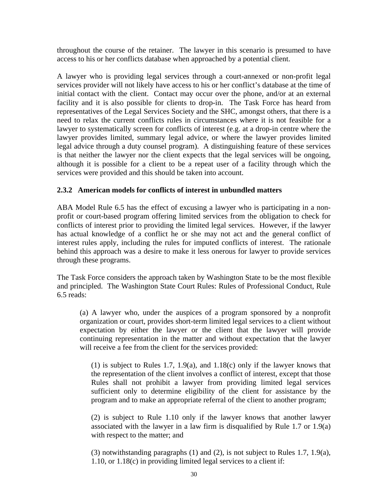throughout the course of the retainer. The lawyer in this scenario is presumed to have access to his or her conflicts database when approached by a potential client.

A lawyer who is providing legal services through a court-annexed or non-profit legal services provider will not likely have access to his or her conflict's database at the time of initial contact with the client. Contact may occur over the phone, and/or at an external facility and it is also possible for clients to drop-in. The Task Force has heard from representatives of the Legal Services Society and the SHC, amongst others, that there is a need to relax the current conflicts rules in circumstances where it is not feasible for a lawyer to systematically screen for conflicts of interest (e.g. at a drop-in centre where the lawyer provides limited, summary legal advice, or where the lawyer provides limited legal advice through a duty counsel program). A distinguishing feature of these services is that neither the lawyer nor the client expects that the legal services will be ongoing, although it is possible for a client to be a repeat user of a facility through which the services were provided and this should be taken into account.

## **2.3.2 American models for conflicts of interest in unbundled matters**

ABA Model Rule 6.5 has the effect of excusing a lawyer who is participating in a nonprofit or court-based program offering limited services from the obligation to check for conflicts of interest prior to providing the limited legal services. However, if the lawyer has actual knowledge of a conflict he or she may not act and the general conflict of interest rules apply, including the rules for imputed conflicts of interest. The rationale behind this approach was a desire to make it less onerous for lawyer to provide services through these programs.

The Task Force considers the approach taken by Washington State to be the most flexible and principled. The Washington State Court Rules: Rules of Professional Conduct, Rule 6.5 reads:

(a) A lawyer who, under the auspices of a program sponsored by a nonprofit organization or court, provides short-term limited legal services to a client without expectation by either the lawyer or the client that the lawyer will provide continuing representation in the matter and without expectation that the lawyer will receive a fee from the client for the services provided:

(1) is subject to Rules 1.7, 1.9(a), and 1.18(c) only if the lawyer knows that the representation of the client involves a conflict of interest, except that those Rules shall not prohibit a lawyer from providing limited legal services sufficient only to determine eligibility of the client for assistance by the program and to make an appropriate referral of the client to another program;

(2) is subject to Rule 1.10 only if the lawyer knows that another lawyer associated with the lawyer in a law firm is disqualified by Rule 1.7 or 1.9(a) with respect to the matter; and

(3) notwithstanding paragraphs (1) and (2), is not subject to Rules 1.7, 1.9(a), 1.10, or 1.18(c) in providing limited legal services to a client if: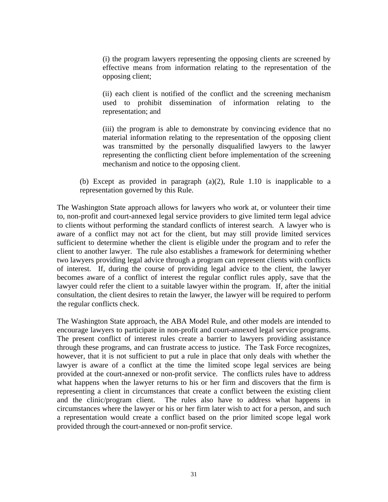(i) the program lawyers representing the opposing clients are screened by effective means from information relating to the representation of the opposing client;

(ii) each client is notified of the conflict and the screening mechanism used to prohibit dissemination of information relating to the representation; and

(iii) the program is able to demonstrate by convincing evidence that no material information relating to the representation of the opposing client was transmitted by the personally disqualified lawyers to the lawyer representing the conflicting client before implementation of the screening mechanism and notice to the opposing client.

(b) Except as provided in paragraph (a)(2), Rule 1.10 is inapplicable to a representation governed by this Rule.

The Washington State approach allows for lawyers who work at, or volunteer their time to, non-profit and court-annexed legal service providers to give limited term legal advice to clients without performing the standard conflicts of interest search. A lawyer who is aware of a conflict may not act for the client, but may still provide limited services sufficient to determine whether the client is eligible under the program and to refer the client to another lawyer. The rule also establishes a framework for determining whether two lawyers providing legal advice through a program can represent clients with conflicts of interest. If, during the course of providing legal advice to the client, the lawyer becomes aware of a conflict of interest the regular conflict rules apply, save that the lawyer could refer the client to a suitable lawyer within the program. If, after the initial consultation, the client desires to retain the lawyer, the lawyer will be required to perform the regular conflicts check.

The Washington State approach, the ABA Model Rule, and other models are intended to encourage lawyers to participate in non-profit and court-annexed legal service programs. The present conflict of interest rules create a barrier to lawyers providing assistance through these programs, and can frustrate access to justice. The Task Force recognizes, however, that it is not sufficient to put a rule in place that only deals with whether the lawyer is aware of a conflict at the time the limited scope legal services are being provided at the court-annexed or non-profit service. The conflicts rules have to address what happens when the lawyer returns to his or her firm and discovers that the firm is representing a client in circumstances that create a conflict between the existing client and the clinic/program client. The rules also have to address what happens in circumstances where the lawyer or his or her firm later wish to act for a person, and such a representation would create a conflict based on the prior limited scope legal work provided through the court-annexed or non-profit service.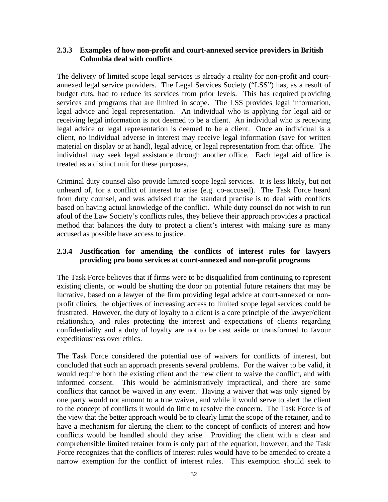### **2.3.3 Examples of how non-profit and court-annexed service providers in British Columbia deal with conflicts**

The delivery of limited scope legal services is already a reality for non-profit and courtannexed legal service providers. The Legal Services Society ("LSS") has, as a result of budget cuts, had to reduce its services from prior levels. This has required providing services and programs that are limited in scope. The LSS provides legal information, legal advice and legal representation. An individual who is applying for legal aid or receiving legal information is not deemed to be a client. An individual who is receiving legal advice or legal representation is deemed to be a client. Once an individual is a client, no individual adverse in interest may receive legal information (save for written material on display or at hand), legal advice, or legal representation from that office. The individual may seek legal assistance through another office. Each legal aid office is treated as a distinct unit for these purposes.

Criminal duty counsel also provide limited scope legal services. It is less likely, but not unheard of, for a conflict of interest to arise (e.g. co-accused). The Task Force heard from duty counsel, and was advised that the standard practise is to deal with conflicts based on having actual knowledge of the conflict. While duty counsel do not wish to run afoul of the Law Society's conflicts rules, they believe their approach provides a practical method that balances the duty to protect a client's interest with making sure as many accused as possible have access to justice.

## **2.3.4 Justification for amending the conflicts of interest rules for lawyers providing pro bono services at court-annexed and non-profit programs**

The Task Force believes that if firms were to be disqualified from continuing to represent existing clients, or would be shutting the door on potential future retainers that may be lucrative, based on a lawyer of the firm providing legal advice at court-annexed or nonprofit clinics, the objectives of increasing access to limited scope legal services could be frustrated. However, the duty of loyalty to a client is a core principle of the lawyer/client relationship, and rules protecting the interest and expectations of clients regarding confidentiality and a duty of loyalty are not to be cast aside or transformed to favour expeditiousness over ethics.

The Task Force considered the potential use of waivers for conflicts of interest, but concluded that such an approach presents several problems. For the waiver to be valid, it would require both the existing client and the new client to waive the conflict, and with informed consent. This would be administratively impractical, and there are some conflicts that cannot be waived in any event. Having a waiver that was only signed by one party would not amount to a true waiver, and while it would serve to alert the client to the concept of conflicts it would do little to resolve the concern. The Task Force is of the view that the better approach would be to clearly limit the scope of the retainer, and to have a mechanism for alerting the client to the concept of conflicts of interest and how conflicts would be handled should they arise. Providing the client with a clear and comprehensible limited retainer form is only part of the equation, however, and the Task Force recognizes that the conflicts of interest rules would have to be amended to create a narrow exemption for the conflict of interest rules. This exemption should seek to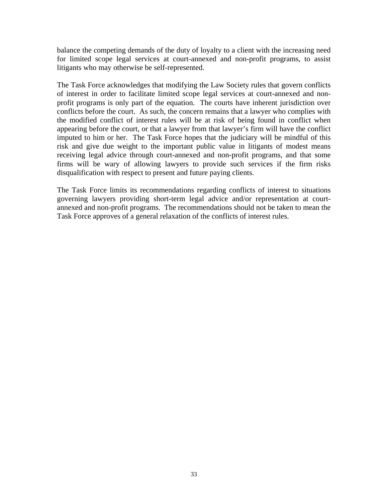balance the competing demands of the duty of loyalty to a client with the increasing need for limited scope legal services at court-annexed and non-profit programs, to assist litigants who may otherwise be self-represented.

The Task Force acknowledges that modifying the Law Society rules that govern conflicts of interest in order to facilitate limited scope legal services at court-annexed and nonprofit programs is only part of the equation. The courts have inherent jurisdiction over conflicts before the court. As such, the concern remains that a lawyer who complies with the modified conflict of interest rules will be at risk of being found in conflict when appearing before the court, or that a lawyer from that lawyer's firm will have the conflict imputed to him or her. The Task Force hopes that the judiciary will be mindful of this risk and give due weight to the important public value in litigants of modest means receiving legal advice through court-annexed and non-profit programs, and that some firms will be wary of allowing lawyers to provide such services if the firm risks disqualification with respect to present and future paying clients.

The Task Force limits its recommendations regarding conflicts of interest to situations governing lawyers providing short-term legal advice and/or representation at courtannexed and non-profit programs. The recommendations should not be taken to mean the Task Force approves of a general relaxation of the conflicts of interest rules.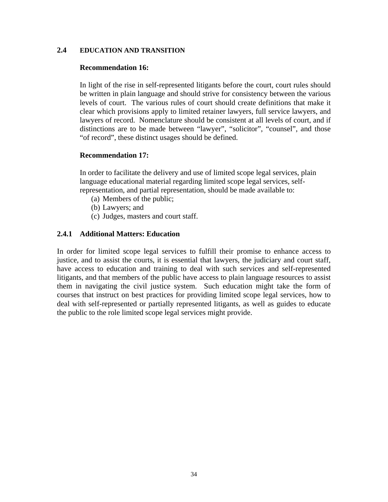#### **2.4 EDUCATION AND TRANSITION**

#### **Recommendation 16:**

In light of the rise in self-represented litigants before the court, court rules should be written in plain language and should strive for consistency between the various levels of court. The various rules of court should create definitions that make it clear which provisions apply to limited retainer lawyers, full service lawyers, and lawyers of record. Nomenclature should be consistent at all levels of court, and if distinctions are to be made between "lawyer", "solicitor", "counsel", and those "of record", these distinct usages should be defined.

#### **Recommendation 17:**

In order to facilitate the delivery and use of limited scope legal services, plain language educational material regarding limited scope legal services, selfrepresentation, and partial representation, should be made available to:

- (a) Members of the public;
- (b) Lawyers; and
- (c) Judges, masters and court staff.

#### **2.4.1 Additional Matters: Education**

In order for limited scope legal services to fulfill their promise to enhance access to justice, and to assist the courts, it is essential that lawyers, the judiciary and court staff, have access to education and training to deal with such services and self-represented litigants, and that members of the public have access to plain language resources to assist them in navigating the civil justice system. Such education might take the form of courses that instruct on best practices for providing limited scope legal services, how to deal with self-represented or partially represented litigants, as well as guides to educate the public to the role limited scope legal services might provide.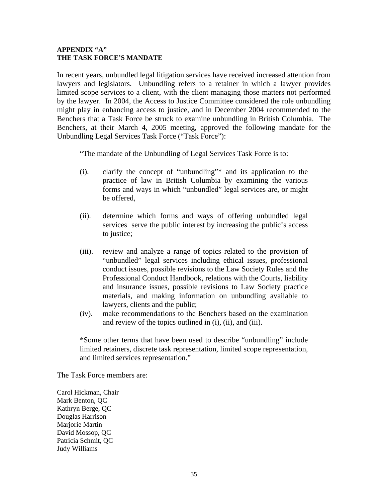#### **APPENDIX "A" THE TASK FORCE'S MANDATE**

In recent years, unbundled legal litigation services have received increased attention from lawyers and legislators. Unbundling refers to a retainer in which a lawyer provides limited scope services to a client, with the client managing those matters not performed by the lawyer. In 2004, the Access to Justice Committee considered the role unbundling might play in enhancing access to justice, and in December 2004 recommended to the Benchers that a Task Force be struck to examine unbundling in British Columbia. The Benchers, at their March 4, 2005 meeting, approved the following mandate for the Unbundling Legal Services Task Force ("Task Force"):

"The mandate of the Unbundling of Legal Services Task Force is to:

- (i). clarify the concept of "unbundling"\* and its application to the practice of law in British Columbia by examining the various forms and ways in which "unbundled" legal services are, or might be offered,
- (ii). determine which forms and ways of offering unbundled legal services serve the public interest by increasing the public's access to justice;
- (iii). review and analyze a range of topics related to the provision of "unbundled" legal services including ethical issues, professional conduct issues, possible revisions to the Law Society Rules and the Professional Conduct Handbook, relations with the Courts, liability and insurance issues, possible revisions to Law Society practice materials, and making information on unbundling available to lawyers, clients and the public;
- (iv). make recommendations to the Benchers based on the examination and review of the topics outlined in (i), (ii), and (iii).

\*Some other terms that have been used to describe "unbundling" include limited retainers, discrete task representation, limited scope representation, and limited services representation."

The Task Force members are:

Carol Hickman, Chair Mark Benton, QC Kathryn Berge, QC Douglas Harrison Marjorie Martin David Mossop, QC Patricia Schmit, QC Judy Williams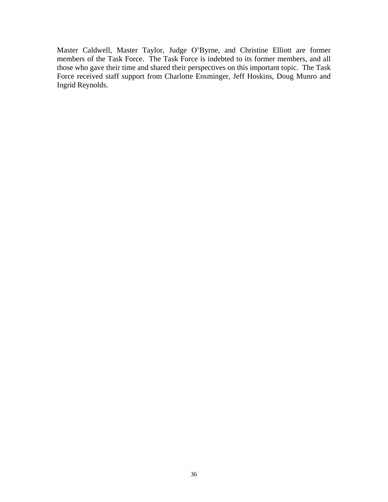Master Caldwell, Master Taylor, Judge O'Byrne, and Christine Elliott are former members of the Task Force. The Task Force is indebted to its former members, and all those who gave their time and shared their perspectives on this important topic. The Task Force received staff support from Charlotte Ensminger, Jeff Hoskins, Doug Munro and Ingrid Reynolds.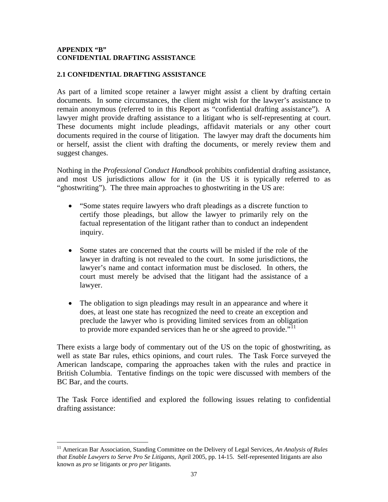#### **APPENDIX "B" CONFIDENTIAL DRAFTING ASSISTANCE**

### **2.1 CONFIDENTIAL DRAFTING ASSISTANCE**

As part of a limited scope retainer a lawyer might assist a client by drafting certain documents. In some circumstances, the client might wish for the lawyer's assistance to remain anonymous (referred to in this Report as "confidential drafting assistance"). A lawyer might provide drafting assistance to a litigant who is self-representing at court. These documents might include pleadings, affidavit materials or any other court documents required in the course of litigation. The lawyer may draft the documents him or herself, assist the client with drafting the documents, or merely review them and suggest changes.

Nothing in the *Professional Conduct Handbook* prohibits confidential drafting assistance, and most US jurisdictions allow for it (in the US it is typically referred to as "ghostwriting"). The three main approaches to ghostwriting in the US are:

- "Some states require lawyers who draft pleadings as a discrete function to certify those pleadings, but allow the lawyer to primarily rely on the factual representation of the litigant rather than to conduct an independent inquiry.
- Some states are concerned that the courts will be misled if the role of the lawyer in drafting is not revealed to the court. In some jurisdictions, the lawyer's name and contact information must be disclosed. In others, the court must merely be advised that the litigant had the assistance of a lawyer.
- The obligation to sign pleadings may result in an appearance and where it does, at least one state has recognized the need to create an exception and preclude the lawyer who is providing limited services from an obligation to provide more expanded services than he or she agreed to provide."<sup>[11](#page-36-0)</sup>

There exists a large body of commentary out of the US on the topic of ghostwriting, as well as state Bar rules, ethics opinions, and court rules. The Task Force surveyed the American landscape, comparing the approaches taken with the rules and practice in British Columbia. Tentative findings on the topic were discussed with members of the BC Bar, and the courts.

The Task Force identified and explored the following issues relating to confidential drafting assistance:

<span id="page-36-0"></span> $\overline{a}$ <sup>11</sup> American Bar Association, Standing Committee on the Delivery of Legal Services, *An Analysis of Rules that Enable Lawyers to Serve Pro Se Litigants,* April 2005, pp. 14-15. Self-represented litigants are also known as *pro se* litigants or *pro per* litigants.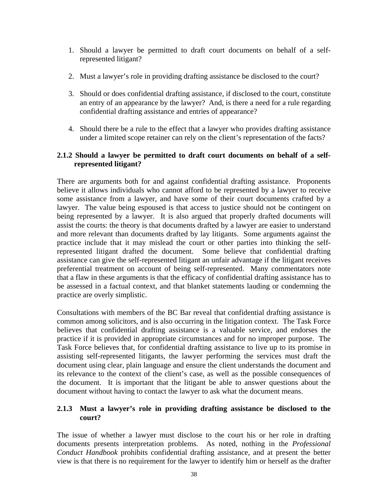- 1. Should a lawyer be permitted to draft court documents on behalf of a selfrepresented litigant?
- 2. Must a lawyer's role in providing drafting assistance be disclosed to the court?
- 3. Should or does confidential drafting assistance, if disclosed to the court, constitute an entry of an appearance by the lawyer? And, is there a need for a rule regarding confidential drafting assistance and entries of appearance?
- 4. Should there be a rule to the effect that a lawyer who provides drafting assistance under a limited scope retainer can rely on the client's representation of the facts?

### **2.1.2 Should a lawyer be permitted to draft court documents on behalf of a selfrepresented litigant?**

There are arguments both for and against confidential drafting assistance. Proponents believe it allows individuals who cannot afford to be represented by a lawyer to receive some assistance from a lawyer, and have some of their court documents crafted by a lawyer. The value being espoused is that access to justice should not be contingent on being represented by a lawyer. It is also argued that properly drafted documents will assist the courts: the theory is that documents drafted by a lawyer are easier to understand and more relevant than documents drafted by lay litigants. Some arguments against the practice include that it may mislead the court or other parties into thinking the selfrepresented litigant drafted the document. Some believe that confidential drafting assistance can give the self-represented litigant an unfair advantage if the litigant receives preferential treatment on account of being self-represented. Many commentators note that a flaw in these arguments is that the efficacy of confidential drafting assistance has to be assessed in a factual context, and that blanket statements lauding or condemning the practice are overly simplistic.

Consultations with members of the BC Bar reveal that confidential drafting assistance is common among solicitors, and is also occurring in the litigation context. The Task Force believes that confidential drafting assistance is a valuable service, and endorses the practice if it is provided in appropriate circumstances and for no improper purpose. The Task Force believes that, for confidential drafting assistance to live up to its promise in assisting self-represented litigants, the lawyer performing the services must draft the document using clear, plain language and ensure the client understands the document and its relevance to the context of the client's case, as well as the possible consequences of the document. It is important that the litigant be able to answer questions about the document without having to contact the lawyer to ask what the document means.

### **2.1.3 Must a lawyer's role in providing drafting assistance be disclosed to the court?**

The issue of whether a lawyer must disclose to the court his or her role in drafting documents presents interpretation problems. As noted, nothing in the *Professional Conduct Handbook* prohibits confidential drafting assistance, and at present the better view is that there is no requirement for the lawyer to identify him or herself as the drafter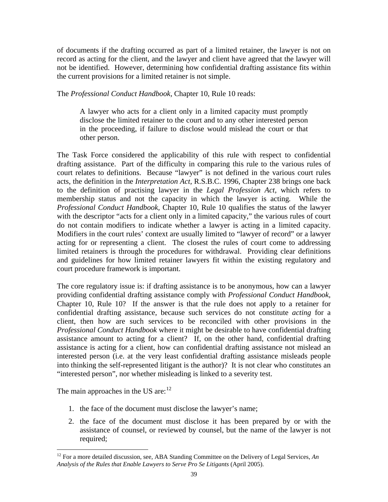of documents if the drafting occurred as part of a limited retainer, the lawyer is not on record as acting for the client, and the lawyer and client have agreed that the lawyer will not be identified. However, determining how confidential drafting assistance fits within the current provisions for a limited retainer is not simple.

The *Professional Conduct Handbook,* Chapter 10, Rule 10 reads:

A lawyer who acts for a client only in a limited capacity must promptly disclose the limited retainer to the court and to any other interested person in the proceeding, if failure to disclose would mislead the court or that other person.

The Task Force considered the applicability of this rule with respect to confidential drafting assistance. Part of the difficulty in comparing this rule to the various rules of court relates to definitions. Because "lawyer" is not defined in the various court rules acts, the definition in the *Interpretation Act,* R.S.B.C. 1996, Chapter 238 brings one back to the definition of practising lawyer in the *Legal Profession Act,* which refers to membership status and not the capacity in which the lawyer is acting*.* While the *Professional Conduct Handbook,* Chapter 10, Rule 10 qualifies the status of the lawyer with the descriptor "acts for a client only in a limited capacity," the various rules of court do not contain modifiers to indicate whether a lawyer is acting in a limited capacity. Modifiers in the court rules' context are usually limited to "lawyer of record" or a lawyer acting for or representing a client. The closest the rules of court come to addressing limited retainers is through the procedures for withdrawal. Providing clear definitions and guidelines for how limited retainer lawyers fit within the existing regulatory and court procedure framework is important.

The core regulatory issue is: if drafting assistance is to be anonymous, how can a lawyer providing confidential drafting assistance comply with *Professional Conduct Handbook,* Chapter 10, Rule 10? If the answer is that the rule does not apply to a retainer for confidential drafting assistance, because such services do not constitute *acting* for a client, then how are such services to be reconciled with other provisions in the *Professional Conduct Handbook* where it might be desirable to have confidential drafting assistance amount to acting for a client? If, on the other hand, confidential drafting assistance is acting for a client, how can confidential drafting assistance not mislead an interested person (i.e. at the very least confidential drafting assistance misleads people into thinking the self-represented litigant is the author)? It is not clear who constitutes an "interested person", nor whether misleading is linked to a severity test.

The main approaches in the US are: $12$ 

 $\overline{a}$ 

- 1. the face of the document must disclose the lawyer's name;
- 2. the face of the document must disclose it has been prepared by or with the assistance of counsel, or reviewed by counsel, but the name of the lawyer is not required;

<span id="page-38-0"></span><sup>&</sup>lt;sup>12</sup> For a more detailed discussion, see, ABA Standing Committee on the Delivery of Legal Services, An *Analysis of the Rules that Enable Lawyers to Serve Pro Se Litigants* (April 2005).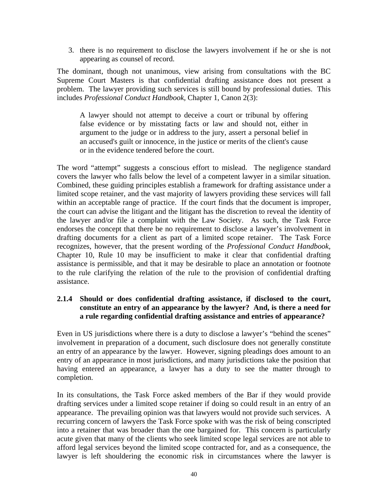3. there is no requirement to disclose the lawyers involvement if he or she is not appearing as counsel of record.

The dominant, though not unanimous, view arising from consultations with the BC Supreme Court Masters is that confidential drafting assistance does not present a problem. The lawyer providing such services is still bound by professional duties. This includes *Professional Conduct Handbook,* Chapter 1, Canon 2(3):

A lawyer should not attempt to deceive a court or tribunal by offering false evidence or by misstating facts or law and should not, either in argument to the judge or in address to the jury, assert a personal belief in an accused's guilt or innocence, in the justice or merits of the client's cause or in the evidence tendered before the court.

The word "attempt" suggests a conscious effort to mislead. The negligence standard covers the lawyer who falls below the level of a competent lawyer in a similar situation. Combined, these guiding principles establish a framework for drafting assistance under a limited scope retainer, and the vast majority of lawyers providing these services will fall within an acceptable range of practice. If the court finds that the document is improper, the court can advise the litigant and the litigant has the discretion to reveal the identity of the lawyer and/or file a complaint with the Law Society. As such, the Task Force endorses the concept that there be no requirement to disclose a lawyer's involvement in drafting documents for a client as part of a limited scope retainer. The Task Force recognizes, however, that the present wording of the *Professional Conduct Handbook,*  Chapter 10, Rule 10 may be insufficient to make it clear that confidential drafting assistance is permissible, and that it may be desirable to place an annotation or footnote to the rule clarifying the relation of the rule to the provision of confidential drafting assistance.

# **2.1.4 Should or does confidential drafting assistance, if disclosed to the court, constitute an entry of an appearance by the lawyer? And, is there a need for a rule regarding confidential drafting assistance and entries of appearance?**

Even in US jurisdictions where there is a duty to disclose a lawyer's "behind the scenes" involvement in preparation of a document, such disclosure does not generally constitute an entry of an appearance by the lawyer. However, signing pleadings does amount to an entry of an appearance in most jurisdictions, and many jurisdictions take the position that having entered an appearance, a lawyer has a duty to see the matter through to completion.

In its consultations, the Task Force asked members of the Bar if they would provide drafting services under a limited scope retainer if doing so could result in an entry of an appearance. The prevailing opinion was that lawyers would not provide such services. A recurring concern of lawyers the Task Force spoke with was the risk of being conscripted into a retainer that was broader than the one bargained for. This concern is particularly acute given that many of the clients who seek limited scope legal services are not able to afford legal services beyond the limited scope contracted for, and as a consequence, the lawyer is left shouldering the economic risk in circumstances where the lawyer is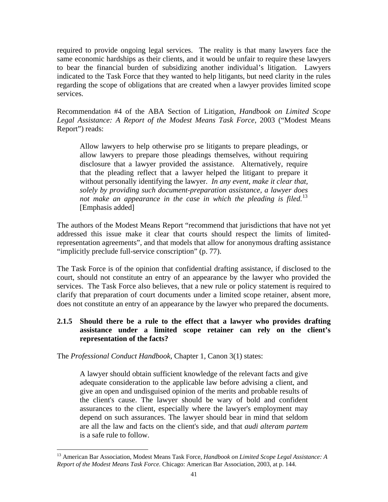required to provide ongoing legal services. The reality is that many lawyers face the same economic hardships as their clients, and it would be unfair to require these lawyers to bear the financial burden of subsidizing another individual's litigation. Lawyers indicated to the Task Force that they wanted to help litigants, but need clarity in the rules regarding the scope of obligations that are created when a lawyer provides limited scope services.

Recommendation #4 of the ABA Section of Litigation, *Handbook on Limited Scope Legal Assistance: A Report of the Modest Means Task Force,* 2003 ("Modest Means Report") reads:

Allow lawyers to help otherwise pro se litigants to prepare pleadings, or allow lawyers to prepare those pleadings themselves, without requiring disclosure that a lawyer provided the assistance. Alternatively, require that the pleading reflect that a lawyer helped the litigant to prepare it without personally identifying the lawyer. *In any event, make it clear that, solely by providing such document-preparation assistance, a lawyer does not make an appearance in the case in which the pleading is filed.*[13](#page-40-0) [Emphasis added]

The authors of the Modest Means Report "recommend that jurisdictions that have not yet addressed this issue make it clear that courts should respect the limits of limitedrepresentation agreements", and that models that allow for anonymous drafting assistance "implicitly preclude full-service conscription" (p. 77).

The Task Force is of the opinion that confidential drafting assistance, if disclosed to the court, should not constitute an entry of an appearance by the lawyer who provided the services. The Task Force also believes, that a new rule or policy statement is required to clarify that preparation of court documents under a limited scope retainer, absent more, does not constitute an entry of an appearance by the lawyer who prepared the documents.

### **2.1.5 Should there be a rule to the effect that a lawyer who provides drafting assistance under a limited scope retainer can rely on the client's representation of the facts?**

The *Professional Conduct Handbook*, Chapter 1, Canon 3(1) states:

 $\overline{a}$ 

A lawyer should obtain sufficient knowledge of the relevant facts and give adequate consideration to the applicable law before advising a client, and give an open and undisguised opinion of the merits and probable results of the client's cause. The lawyer should be wary of bold and confident assurances to the client, especially where the lawyer's employment may depend on such assurances. The lawyer should bear in mind that seldom are all the law and facts on the client's side, and that *audi alteram partem* is a safe rule to follow.

<span id="page-40-0"></span><sup>13</sup> American Bar Association, Modest Means Task Force, *Handbook on Limited Scope Legal Assistance: A Report of the Modest Means Task Force.* Chicago: American Bar Association, 2003, at p. 144.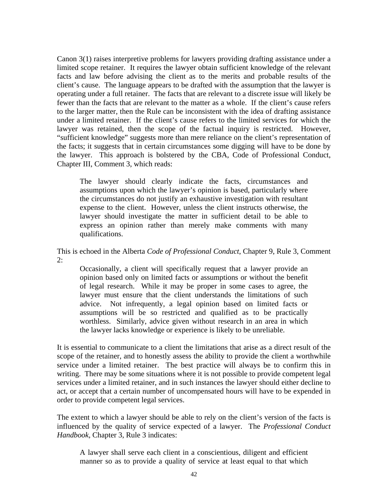Canon 3(1) raises interpretive problems for lawyers providing drafting assistance under a limited scope retainer. It requires the lawyer obtain sufficient knowledge of the relevant facts and law before advising the client as to the merits and probable results of the client's cause. The language appears to be drafted with the assumption that the lawyer is operating under a full retainer. The facts that are relevant to a discrete issue will likely be fewer than the facts that are relevant to the matter as a whole. If the client's cause refers to the larger matter, then the Rule can be inconsistent with the idea of drafting assistance under a limited retainer. If the client's cause refers to the limited services for which the lawyer was retained, then the scope of the factual inquiry is restricted. However, "sufficient knowledge" suggests more than mere reliance on the client's representation of the facts; it suggests that in certain circumstances some digging will have to be done by the lawyer. This approach is bolstered by the CBA, Code of Professional Conduct, Chapter III, Comment 3, which reads:

The lawyer should clearly indicate the facts, circumstances and assumptions upon which the lawyer's opinion is based, particularly where the circumstances do not justify an exhaustive investigation with resultant expense to the client. However, unless the client instructs otherwise, the lawyer should investigate the matter in sufficient detail to be able to express an opinion rather than merely make comments with many qualifications.

This is echoed in the Alberta *Code of Professional Conduct*, Chapter 9, Rule 3, Comment  $2:$ 

Occasionally, a client will specifically request that a lawyer provide an opinion based only on limited facts or assumptions or without the benefit of legal research. While it may be proper in some cases to agree, the lawyer must ensure that the client understands the limitations of such advice. Not infrequently, a legal opinion based on limited facts or assumptions will be so restricted and qualified as to be practically worthless. Similarly, advice given without research in an area in which the lawyer lacks knowledge or experience is likely to be unreliable.

It is essential to communicate to a client the limitations that arise as a direct result of the scope of the retainer, and to honestly assess the ability to provide the client a worthwhile service under a limited retainer. The best practice will always be to confirm this in writing. There may be some situations where it is not possible to provide competent legal services under a limited retainer, and in such instances the lawyer should either decline to act, or accept that a certain number of uncompensated hours will have to be expended in order to provide competent legal services.

The extent to which a lawyer should be able to rely on the client's version of the facts is influenced by the quality of service expected of a lawyer. The *Professional Conduct Handbook,* Chapter 3, Rule 3 indicates:

A lawyer shall serve each client in a conscientious, diligent and efficient manner so as to provide a quality of service at least equal to that which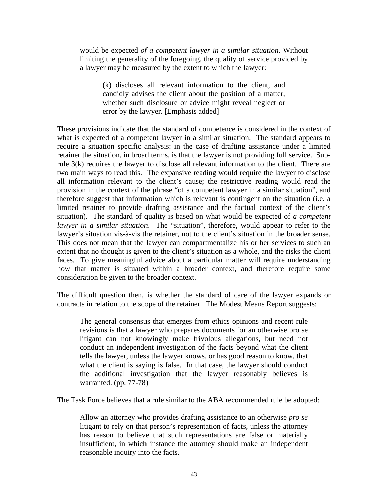would be expected *of a competent lawyer in a similar situation*. Without limiting the generality of the foregoing, the quality of service provided by a lawyer may be measured by the extent to which the lawyer:

(k) discloses all relevant information to the client, and candidly advises the client about the position of a matter, whether such disclosure or advice might reveal neglect or error by the lawyer. [Emphasis added]

These provisions indicate that the standard of competence is considered in the context of what is expected of a competent lawyer in a similar situation. The standard appears to require a situation specific analysis: in the case of drafting assistance under a limited retainer the situation, in broad terms, is that the lawyer is not providing full service. Subrule 3(k) requires the lawyer to disclose all relevant information to the client. There are two main ways to read this. The expansive reading would require the lawyer to disclose all information relevant to the client's cause; the restrictive reading would read the provision in the context of the phrase "of a competent lawyer in a similar situation", and therefore suggest that information which is relevant is contingent on the situation (i.e. a limited retainer to provide drafting assistance and the factual context of the client's situation). The standard of quality is based on what would be expected of *a competent lawyer in a similar situation*. The "situation", therefore, would appear to refer to the lawyer's situation vis-à-vis the retainer, not to the client's situation in the broader sense. This does not mean that the lawyer can compartmentalize his or her services to such an extent that no thought is given to the client's situation as a whole, and the risks the client faces. To give meaningful advice about a particular matter will require understanding how that matter is situated within a broader context, and therefore require some consideration be given to the broader context.

The difficult question then, is whether the standard of care of the lawyer expands or contracts in relation to the scope of the retainer. The Modest Means Report suggests:

The general consensus that emerges from ethics opinions and recent rule revisions is that a lawyer who prepares documents for an otherwise pro se litigant can not knowingly make frivolous allegations, but need not conduct an independent investigation of the facts beyond what the client tells the lawyer, unless the lawyer knows, or has good reason to know, that what the client is saying is false. In that case, the lawyer should conduct the additional investigation that the lawyer reasonably believes is warranted. (pp. 77-78)

The Task Force believes that a rule similar to the ABA recommended rule be adopted:

Allow an attorney who provides drafting assistance to an otherwise *pro se* litigant to rely on that person's representation of facts, unless the attorney has reason to believe that such representations are false or materially insufficient, in which instance the attorney should make an independent reasonable inquiry into the facts.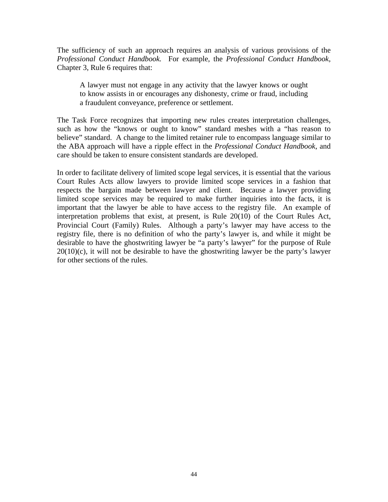The sufficiency of such an approach requires an analysis of various provisions of the *Professional Conduct Handbook.* For example, the *Professional Conduct Handbook,* Chapter 3, Rule 6 requires that:

A lawyer must not engage in any activity that the lawyer knows or ought to know assists in or encourages any dishonesty, crime or fraud, including a fraudulent conveyance, preference or settlement.

The Task Force recognizes that importing new rules creates interpretation challenges, such as how the "knows or ought to know" standard meshes with a "has reason to believe" standard. A change to the limited retainer rule to encompass language similar to the ABA approach will have a ripple effect in the *Professional Conduct Handbook*, and care should be taken to ensure consistent standards are developed.

In order to facilitate delivery of limited scope legal services, it is essential that the various Court Rules Acts allow lawyers to provide limited scope services in a fashion that respects the bargain made between lawyer and client. Because a lawyer providing limited scope services may be required to make further inquiries into the facts, it is important that the lawyer be able to have access to the registry file. An example of interpretation problems that exist, at present, is Rule 20(10) of the Court Rules Act, Provincial Court (Family) Rules. Although a party's lawyer may have access to the registry file, there is no definition of who the party's lawyer is, and while it might be desirable to have the ghostwriting lawyer be "a party's lawyer" for the purpose of Rule  $20(10)(c)$ , it will not be desirable to have the ghostwriting lawyer be the party's lawyer for other sections of the rules.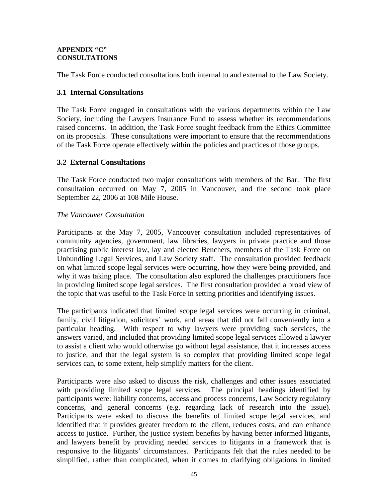#### **APPENDIX "C" CONSULTATIONS**

The Task Force conducted consultations both internal to and external to the Law Society.

# **3.1 Internal Consultations**

The Task Force engaged in consultations with the various departments within the Law Society, including the Lawyers Insurance Fund to assess whether its recommendations raised concerns. In addition, the Task Force sought feedback from the Ethics Committee on its proposals. These consultations were important to ensure that the recommendations of the Task Force operate effectively within the policies and practices of those groups.

## **3.2 External Consultations**

The Task Force conducted two major consultations with members of the Bar. The first consultation occurred on May 7, 2005 in Vancouver, and the second took place September 22, 2006 at 108 Mile House.

## *The Vancouver Consultation*

Participants at the May 7, 2005, Vancouver consultation included representatives of community agencies, government, law libraries, lawyers in private practice and those practising public interest law, lay and elected Benchers, members of the Task Force on Unbundling Legal Services, and Law Society staff. The consultation provided feedback on what limited scope legal services were occurring, how they were being provided, and why it was taking place. The consultation also explored the challenges practitioners face in providing limited scope legal services. The first consultation provided a broad view of the topic that was useful to the Task Force in setting priorities and identifying issues.

The participants indicated that limited scope legal services were occurring in criminal, family, civil litigation, solicitors' work, and areas that did not fall conveniently into a particular heading. With respect to why lawyers were providing such services, the answers varied, and included that providing limited scope legal services allowed a lawyer to assist a client who would otherwise go without legal assistance, that it increases access to justice, and that the legal system is so complex that providing limited scope legal services can, to some extent, help simplify matters for the client.

Participants were also asked to discuss the risk, challenges and other issues associated with providing limited scope legal services. The principal headings identified by participants were: liability concerns, access and process concerns, Law Society regulatory concerns, and general concerns (e.g. regarding lack of research into the issue). Participants were asked to discuss the benefits of limited scope legal services, and identified that it provides greater freedom to the client, reduces costs, and can enhance access to justice. Further, the justice system benefits by having better informed litigants, and lawyers benefit by providing needed services to litigants in a framework that is responsive to the litigants' circumstances. Participants felt that the rules needed to be simplified, rather than complicated, when it comes to clarifying obligations in limited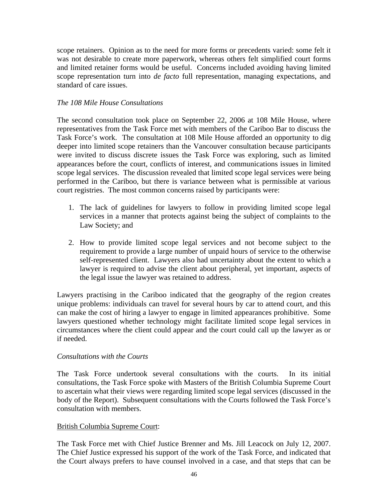scope retainers. Opinion as to the need for more forms or precedents varied: some felt it was not desirable to create more paperwork, whereas others felt simplified court forms and limited retainer forms would be useful. Concerns included avoiding having limited scope representation turn into *de facto* full representation, managing expectations, and standard of care issues.

### *The 108 Mile House Consultations*

The second consultation took place on September 22, 2006 at 108 Mile House, where representatives from the Task Force met with members of the Cariboo Bar to discuss the Task Force's work. The consultation at 108 Mile House afforded an opportunity to dig deeper into limited scope retainers than the Vancouver consultation because participants were invited to discuss discrete issues the Task Force was exploring, such as limited appearances before the court, conflicts of interest, and communications issues in limited scope legal services. The discussion revealed that limited scope legal services were being performed in the Cariboo, but there is variance between what is permissible at various court registries. The most common concerns raised by participants were:

- 1. The lack of guidelines for lawyers to follow in providing limited scope legal services in a manner that protects against being the subject of complaints to the Law Society; and
- 2. How to provide limited scope legal services and not become subject to the requirement to provide a large number of unpaid hours of service to the otherwise self-represented client. Lawyers also had uncertainty about the extent to which a lawyer is required to advise the client about peripheral, yet important, aspects of the legal issue the lawyer was retained to address.

Lawyers practising in the Cariboo indicated that the geography of the region creates unique problems: individuals can travel for several hours by car to attend court, and this can make the cost of hiring a lawyer to engage in limited appearances prohibitive. Some lawyers questioned whether technology might facilitate limited scope legal services in circumstances where the client could appear and the court could call up the lawyer as or if needed.

#### *Consultations with the Courts*

The Task Force undertook several consultations with the courts. In its initial consultations, the Task Force spoke with Masters of the British Columbia Supreme Court to ascertain what their views were regarding limited scope legal services (discussed in the body of the Report). Subsequent consultations with the Courts followed the Task Force's consultation with members.

#### British Columbia Supreme Court:

The Task Force met with Chief Justice Brenner and Ms. Jill Leacock on July 12, 2007. The Chief Justice expressed his support of the work of the Task Force, and indicated that the Court always prefers to have counsel involved in a case, and that steps that can be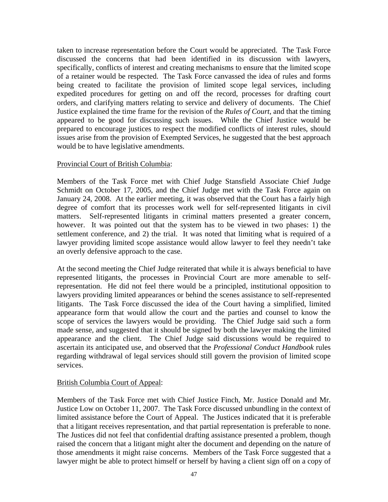taken to increase representation before the Court would be appreciated. The Task Force discussed the concerns that had been identified in its discussion with lawyers, specifically, conflicts of interest and creating mechanisms to ensure that the limited scope of a retainer would be respected. The Task Force canvassed the idea of rules and forms being created to facilitate the provision of limited scope legal services, including expedited procedures for getting on and off the record, processes for drafting court orders, and clarifying matters relating to service and delivery of documents. The Chief Justice explained the time frame for the revision of the *Rules of Court,* and that the timing appeared to be good for discussing such issues. While the Chief Justice would be prepared to encourage justices to respect the modified conflicts of interest rules, should issues arise from the provision of Exempted Services, he suggested that the best approach would be to have legislative amendments.

## Provincial Court of British Columbia:

Members of the Task Force met with Chief Judge Stansfield Associate Chief Judge Schmidt on October 17, 2005, and the Chief Judge met with the Task Force again on January 24, 2008. At the earlier meeting, it was observed that the Court has a fairly high degree of comfort that its processes work well for self-represented litigants in civil matters. Self-represented litigants in criminal matters presented a greater concern, however. It was pointed out that the system has to be viewed in two phases: 1) the settlement conference, and 2) the trial. It was noted that limiting what is required of a lawyer providing limited scope assistance would allow lawyer to feel they needn't take an overly defensive approach to the case.

At the second meeting the Chief Judge reiterated that while it is always beneficial to have represented litigants, the processes in Provincial Court are more amenable to selfrepresentation. He did not feel there would be a principled, institutional opposition to lawyers providing limited appearances or behind the scenes assistance to self-represented litigants. The Task Force discussed the idea of the Court having a simplified, limited appearance form that would allow the court and the parties and counsel to know the scope of services the lawyers would be providing. The Chief Judge said such a form made sense, and suggested that it should be signed by both the lawyer making the limited appearance and the client. The Chief Judge said discussions would be required to ascertain its anticipated use, and observed that the *Professional Conduct Handbook* rules regarding withdrawal of legal services should still govern the provision of limited scope services.

## British Columbia Court of Appeal:

Members of the Task Force met with Chief Justice Finch, Mr. Justice Donald and Mr. Justice Low on October 11, 2007. The Task Force discussed unbundling in the context of limited assistance before the Court of Appeal. The Justices indicated that it is preferable that a litigant receives representation, and that partial representation is preferable to none. The Justices did not feel that confidential drafting assistance presented a problem, though raised the concern that a litigant might alter the document and depending on the nature of those amendments it might raise concerns. Members of the Task Force suggested that a lawyer might be able to protect himself or herself by having a client sign off on a copy of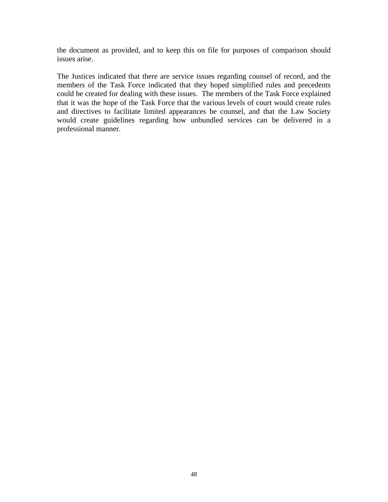the document as provided, and to keep this on file for purposes of comparison should issues arise.

The Justices indicated that there are service issues regarding counsel of record, and the members of the Task Force indicated that they hoped simplified rules and precedents could be created for dealing with these issues. The members of the Task Force explained that it was the hope of the Task Force that the various levels of court would create rules and directives to facilitate limited appearances be counsel, and that the Law Society would create guidelines regarding how unbundled services can be delivered in a professional manner.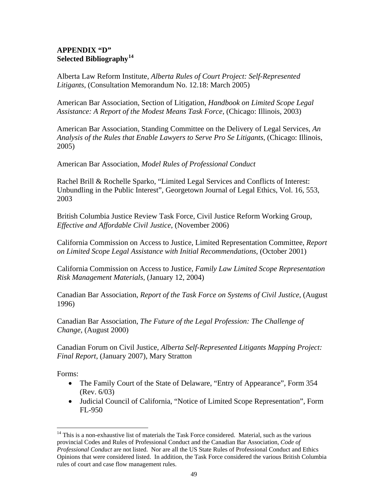### **APPENDIX "D" Selected Bibliography[14](#page-48-0)**

Alberta Law Reform Institute, *Alberta Rules of Court Project: Self-Represented Litigants*, (Consultation Memorandum No. 12.18: March 2005)

American Bar Association, Section of Litigation, *Handbook on Limited Scope Legal Assistance: A Report of the Modest Means Task Force*, (Chicago: Illinois, 2003)

American Bar Association, Standing Committee on the Delivery of Legal Services, *An Analysis of the Rules that Enable Lawyers to Serve Pro Se Litigants*, (Chicago: Illinois, 2005)

American Bar Association, *Model Rules of Professional Conduct* 

Rachel Brill & Rochelle Sparko, "Limited Legal Services and Conflicts of Interest: Unbundling in the Public Interest", Georgetown Journal of Legal Ethics, Vol. 16, 553, 2003

British Columbia Justice Review Task Force, Civil Justice Reform Working Group, *Effective and Affordable Civil Justice*, (November 2006)

California Commission on Access to Justice, Limited Representation Committee, *Report on Limited Scope Legal Assistance with Initial Recommendations*, (October 2001)

California Commission on Access to Justice, *Family Law Limited Scope Representation Risk Management Materials,* (January 12, 2004)

Canadian Bar Association, *Report of the Task Force on Systems of Civil Justice*, (August 1996)

Canadian Bar Association, *The Future of the Legal Profession: The Challenge of Change,* (August 2000)

Canadian Forum on Civil Justice, *Alberta Self-Represented Litigants Mapping Project: Final Report*, (January 2007), Mary Stratton

Forms:

 $\overline{a}$ 

- The Family Court of the State of Delaware, "Entry of Appearance", Form 354 (Rev. 6/03)
- Judicial Council of California, "Notice of Limited Scope Representation", Form FL-950

<span id="page-48-0"></span><sup>&</sup>lt;sup>14</sup> This is a non-exhaustive list of materials the Task Force considered. Material, such as the various provincial Codes and Rules of Professional Conduct and the Canadian Bar Association, *Code of Professional Conduct* are not listed. Nor are all the US State Rules of Professional Conduct and Ethics Opinions that were considered listed. In addition, the Task Force considered the various British Columbia rules of court and case flow management rules.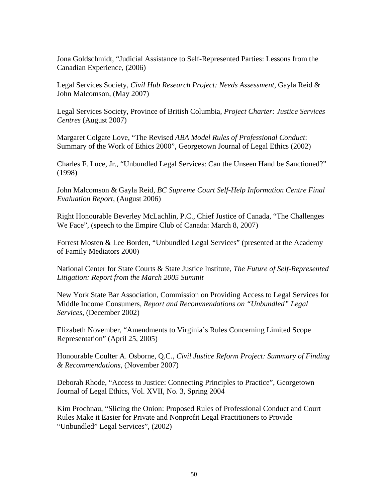Jona Goldschmidt, "Judicial Assistance to Self-Represented Parties: Lessons from the Canadian Experience, (2006)

Legal Services Society, *Civil Hub Research Project: Needs Assessment*, Gayla Reid & John Malcomson, (May 2007)

Legal Services Society, Province of British Columbia, *Project Charter: Justice Services Centres* (August 2007)

Margaret Colgate Love, "The Revised *ABA Model Rules of Professional Conduct*: Summary of the Work of Ethics 2000", Georgetown Journal of Legal Ethics (2002)

Charles F. Luce, Jr., "Unbundled Legal Services: Can the Unseen Hand be Sanctioned?" (1998)

John Malcomson & Gayla Reid, *BC Supreme Court Self-Help Information Centre Final Evaluation Report*, (August 2006)

Right Honourable Beverley McLachlin, P.C., Chief Justice of Canada, "The Challenges We Face", (speech to the Empire Club of Canada: March 8, 2007)

Forrest Mosten & Lee Borden, "Unbundled Legal Services" (presented at the Academy of Family Mediators 2000)

National Center for State Courts & State Justice Institute, *The Future of Self-Represented Litigation: Report from the March 2005 Summit* 

New York State Bar Association, Commission on Providing Access to Legal Services for Middle Income Consumers, *Report and Recommendations on "Unbundled" Legal Services*, (December 2002)

Elizabeth November, "Amendments to Virginia's Rules Concerning Limited Scope Representation" (April 25, 2005)

Honourable Coulter A. Osborne, Q.C., *Civil Justice Reform Project: Summary of Finding & Recommendations*, (November 2007)

Deborah Rhode, "Access to Justice: Connecting Principles to Practice", Georgetown Journal of Legal Ethics, Vol. XVII, No. 3, Spring 2004

Kim Prochnau, "Slicing the Onion: Proposed Rules of Professional Conduct and Court Rules Make it Easier for Private and Nonprofit Legal Practitioners to Provide "Unbundled" Legal Services", (2002)